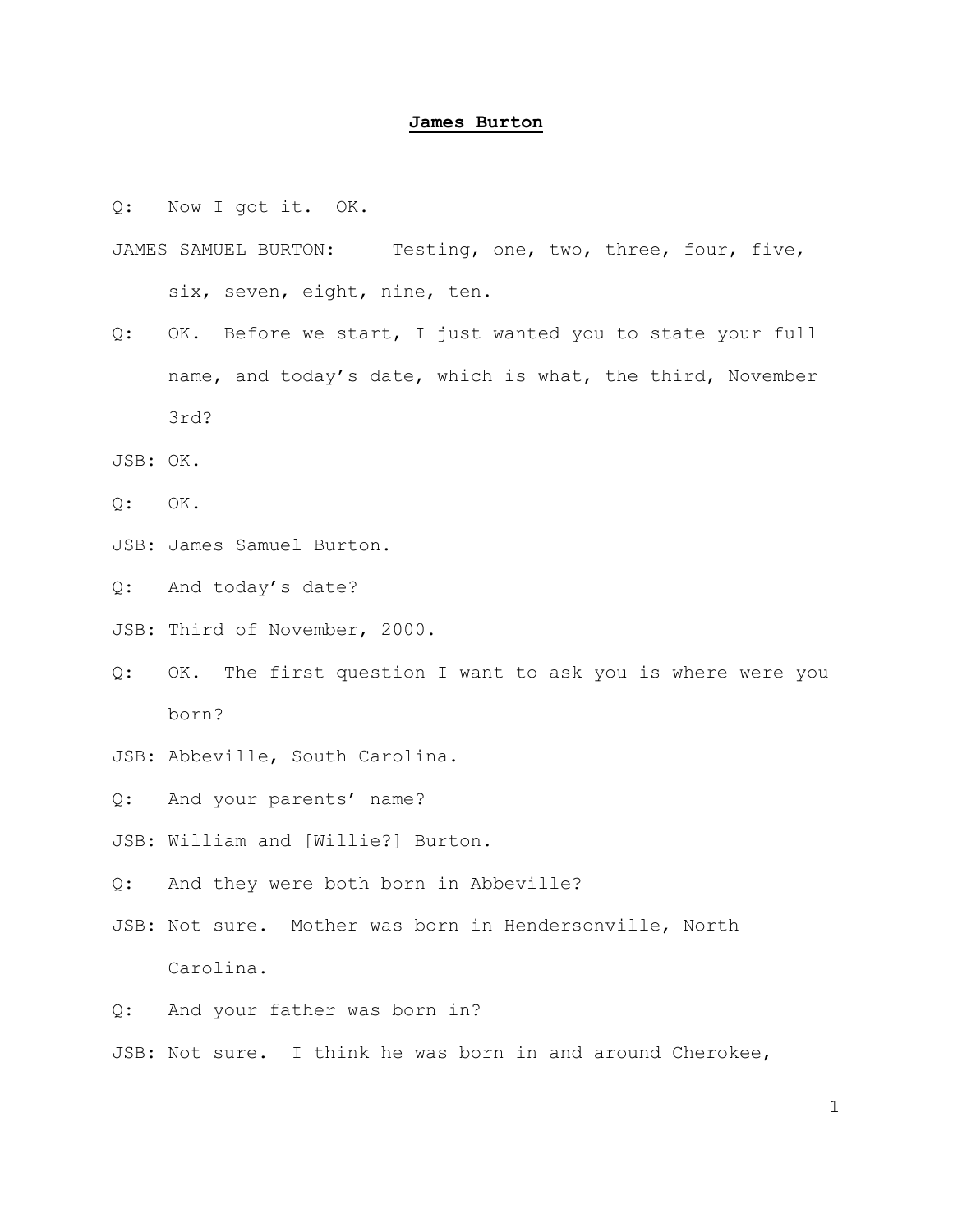## **James Burton**

Q: Now I got it. OK.

- JAMES SAMUEL BURTON: Testing, one, two, three, four, five, six, seven, eight, nine, ten.
- Q: OK. Before we start, I just wanted you to state your full name, and today's date, which is what, the third, November 3rd?
- JSB: OK.
- Q: OK.
- JSB: James Samuel Burton.

Q: And today's date?

- JSB: Third of November, 2000.
- Q: OK. The first question I want to ask you is where were you born?
- JSB: Abbeville, South Carolina.
- Q: And your parents' name?
- JSB: William and [Willie?] Burton.
- Q: And they were both born in Abbeville?
- JSB: Not sure. Mother was born in Hendersonville, North Carolina.
- Q: And your father was born in?
- JSB: Not sure. I think he was born in and around Cherokee,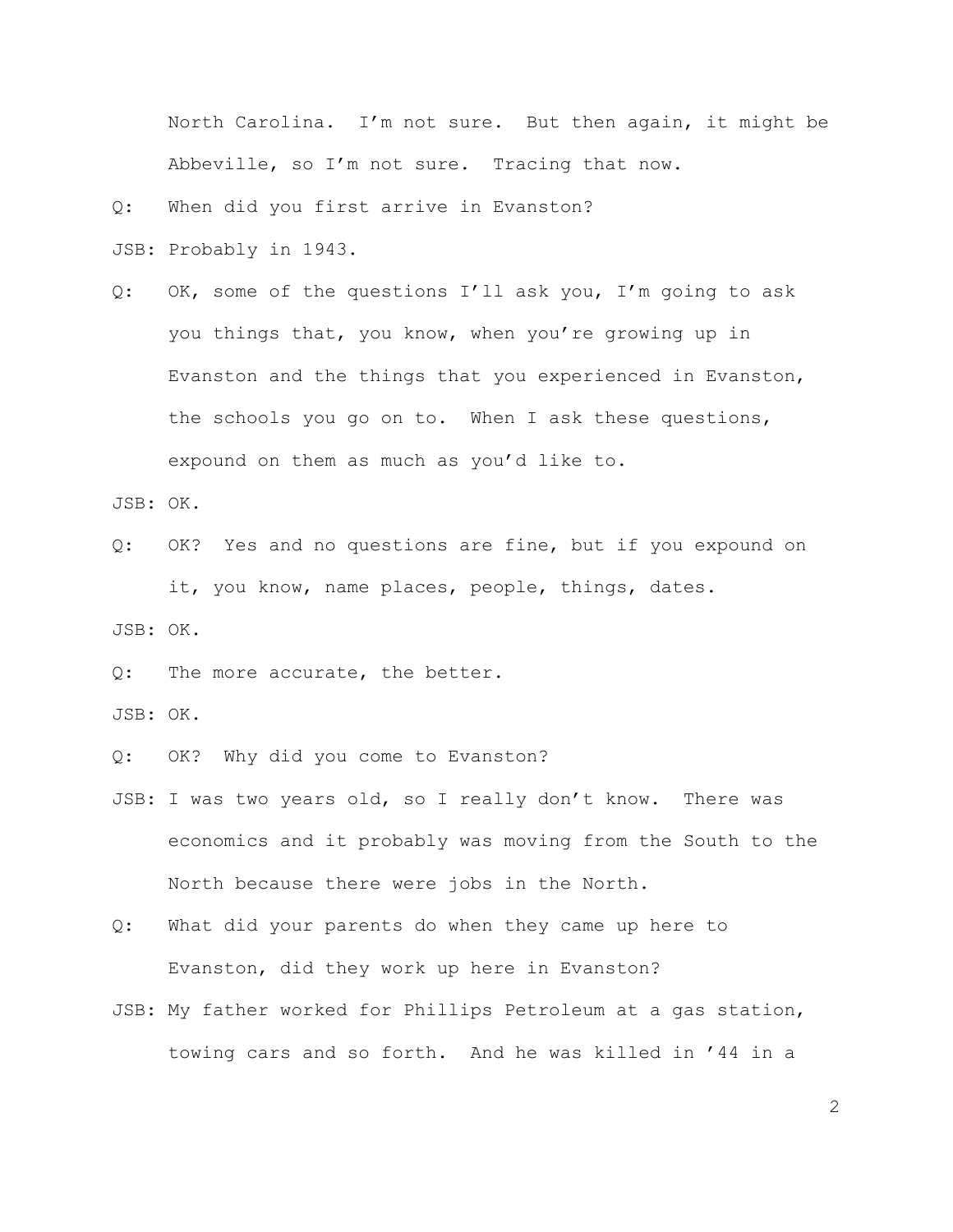North Carolina. I'm not sure. But then again, it might be Abbeville, so I'm not sure. Tracing that now.

Q: When did you first arrive in Evanston?

JSB: Probably in 1943.

Q: OK, some of the questions I'll ask you, I'm going to ask you things that, you know, when you're growing up in Evanston and the things that you experienced in Evanston, the schools you go on to. When I ask these questions, expound on them as much as you'd like to.

JSB: OK.

Q: OK? Yes and no questions are fine, but if you expound on it, you know, name places, people, things, dates.

JSB: OK.

Q: The more accurate, the better.

JSB: OK.

Q: OK? Why did you come to Evanston?

- JSB: I was two years old, so I really don't know. There was economics and it probably was moving from the South to the North because there were jobs in the North.
- Q: What did your parents do when they came up here to Evanston, did they work up here in Evanston?
- JSB: My father worked for Phillips Petroleum at a gas station, towing cars and so forth. And he was killed in '44 in a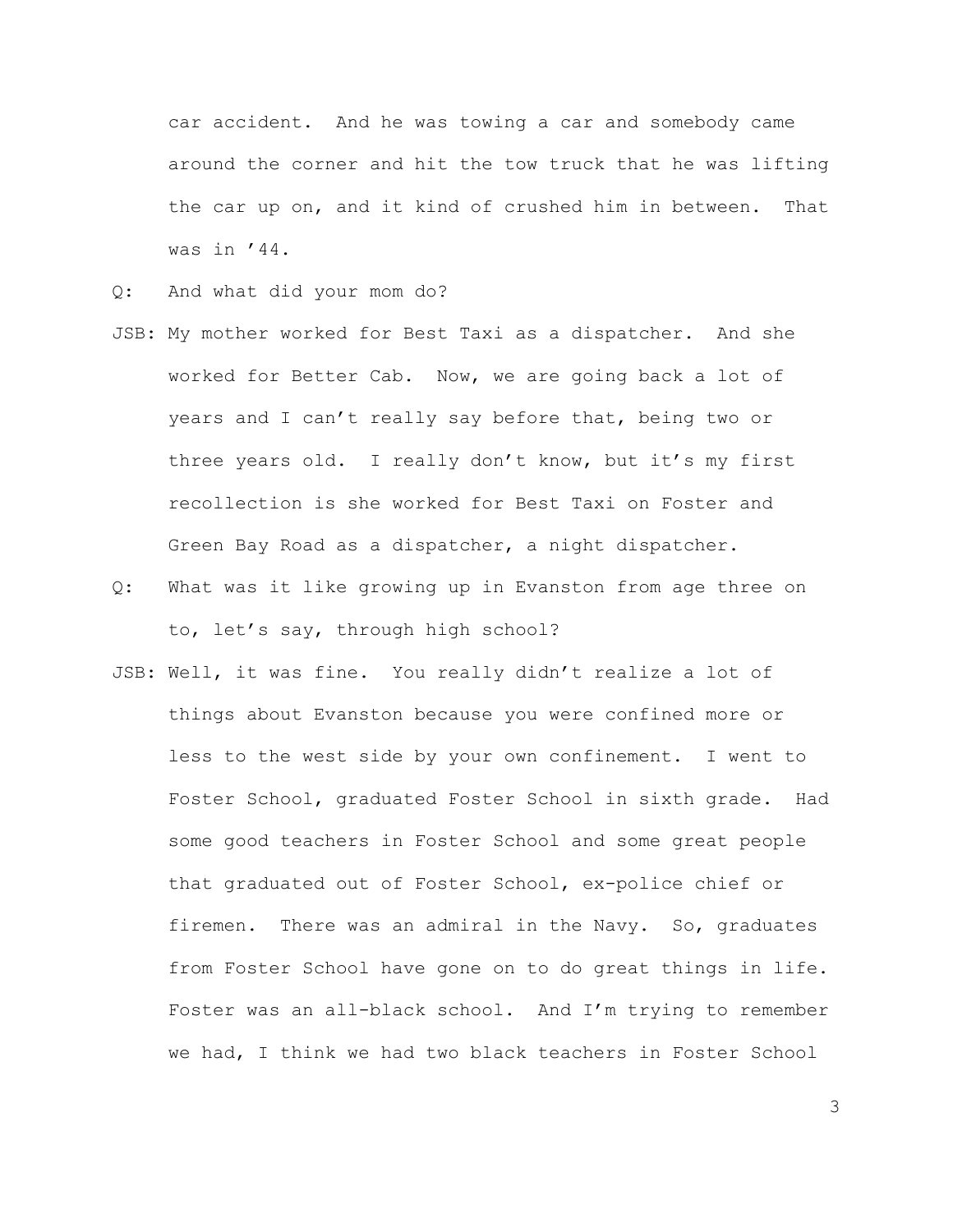car accident. And he was towing a car and somebody came around the corner and hit the tow truck that he was lifting the car up on, and it kind of crushed him in between. That was in '44.

- Q: And what did your mom do?
- JSB: My mother worked for Best Taxi as a dispatcher. And she worked for Better Cab. Now, we are going back a lot of years and I can't really say before that, being two or three years old. I really don't know, but it's my first recollection is she worked for Best Taxi on Foster and Green Bay Road as a dispatcher, a night dispatcher.
- Q: What was it like growing up in Evanston from age three on to, let's say, through high school?
- JSB: Well, it was fine. You really didn't realize a lot of things about Evanston because you were confined more or less to the west side by your own confinement. I went to Foster School, graduated Foster School in sixth grade. Had some good teachers in Foster School and some great people that graduated out of Foster School, ex-police chief or firemen. There was an admiral in the Navy. So, graduates from Foster School have gone on to do great things in life. Foster was an all-black school. And I'm trying to remember we had, I think we had two black teachers in Foster School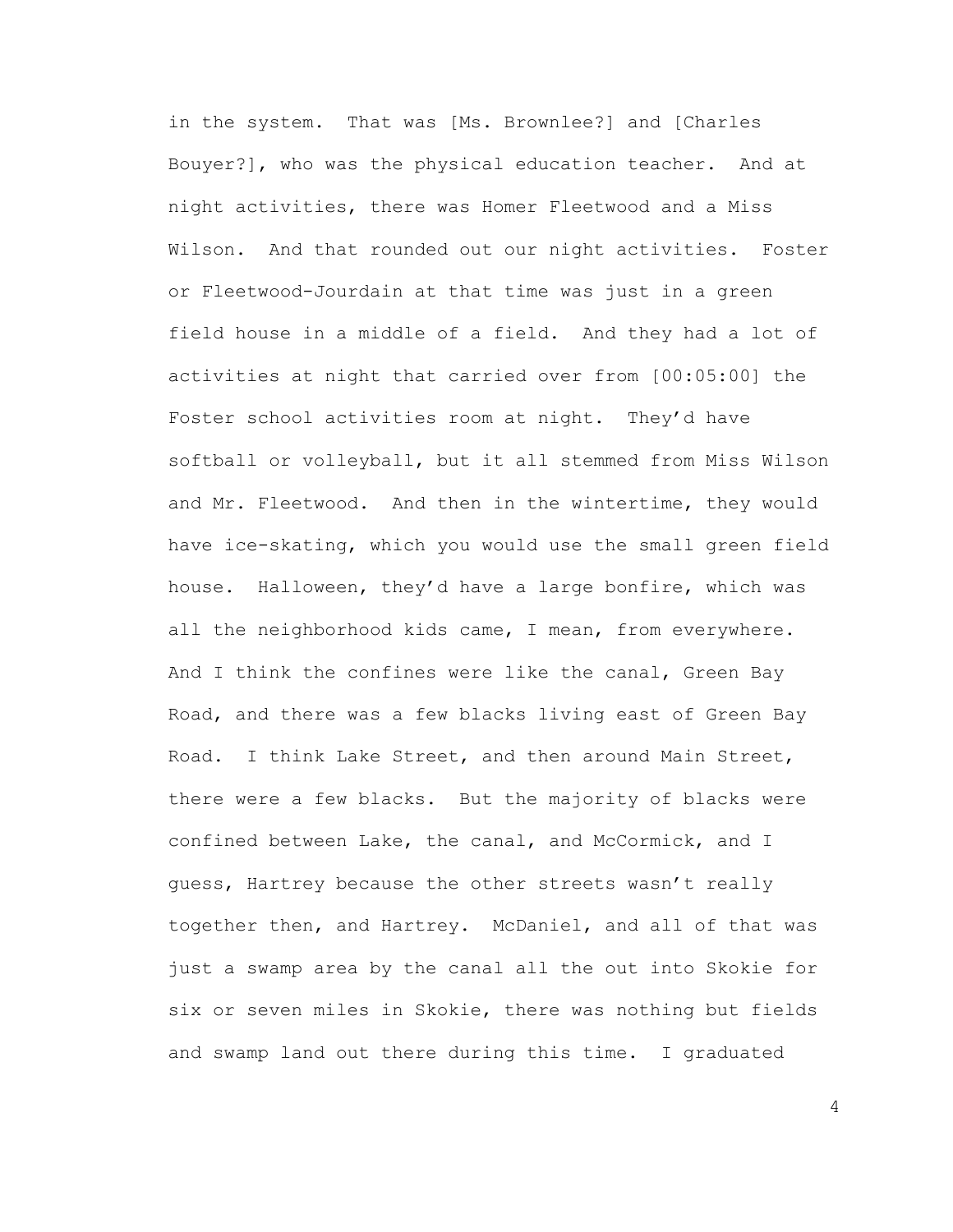in the system. That was [Ms. Brownlee?] and [Charles Bouyer?], who was the physical education teacher. And at night activities, there was Homer Fleetwood and a Miss Wilson. And that rounded out our night activities. Foster or Fleetwood-Jourdain at that time was just in a green field house in a middle of a field. And they had a lot of activities at night that carried over from [00:05:00] the Foster school activities room at night. They'd have softball or volleyball, but it all stemmed from Miss Wilson and Mr. Fleetwood. And then in the wintertime, they would have ice-skating, which you would use the small green field house. Halloween, they'd have a large bonfire, which was all the neighborhood kids came, I mean, from everywhere. And I think the confines were like the canal, Green Bay Road, and there was a few blacks living east of Green Bay Road. I think Lake Street, and then around Main Street, there were a few blacks. But the majority of blacks were confined between Lake, the canal, and McCormick, and I guess, Hartrey because the other streets wasn't really together then, and Hartrey. McDaniel, and all of that was just a swamp area by the canal all the out into Skokie for six or seven miles in Skokie, there was nothing but fields and swamp land out there during this time. I graduated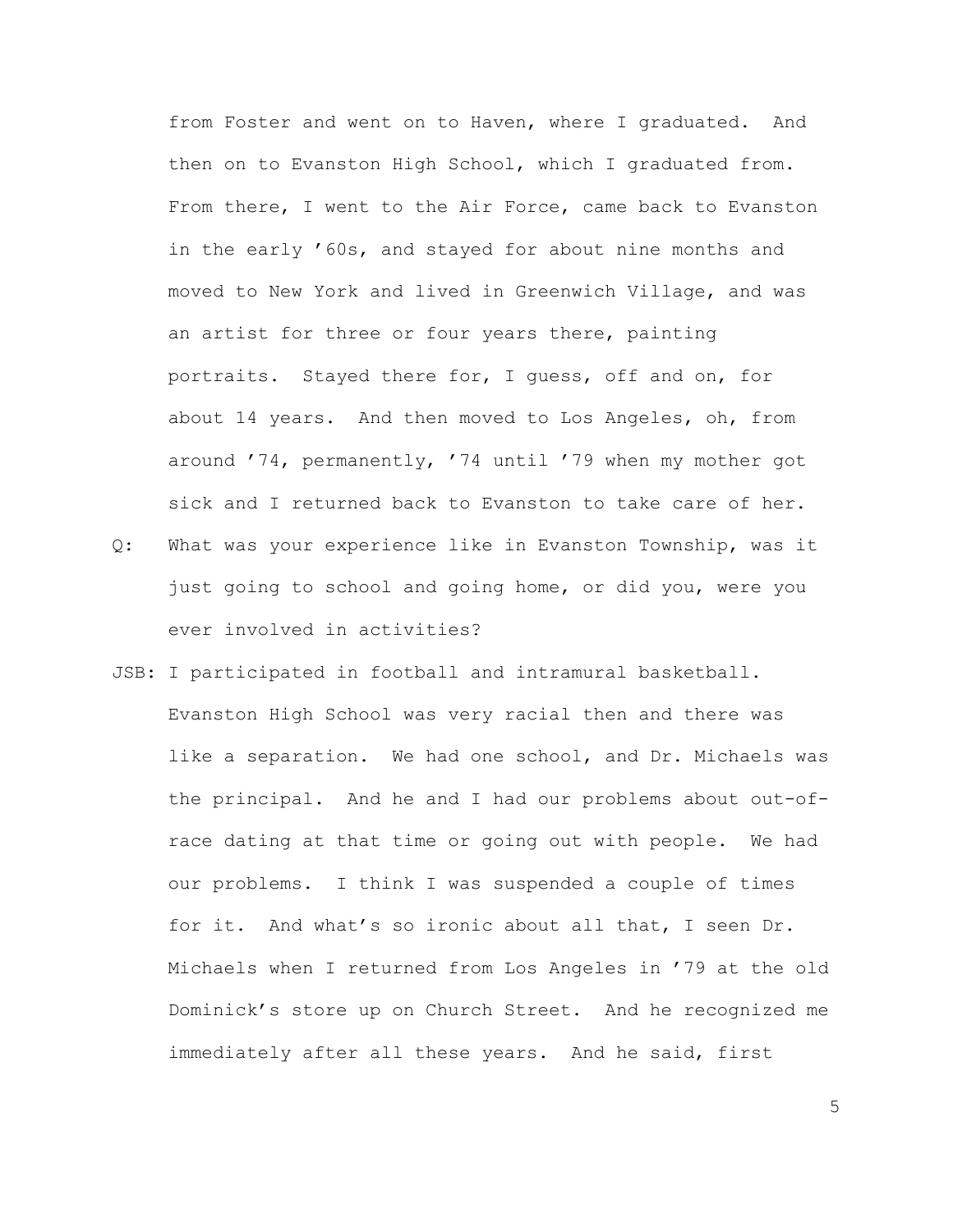from Foster and went on to Haven, where I graduated. And then on to Evanston High School, which I graduated from. From there, I went to the Air Force, came back to Evanston in the early '60s, and stayed for about nine months and moved to New York and lived in Greenwich Village, and was an artist for three or four years there, painting portraits. Stayed there for, I guess, off and on, for about 14 years. And then moved to Los Angeles, oh, from around '74, permanently, '74 until '79 when my mother got sick and I returned back to Evanston to take care of her.

- Q: What was your experience like in Evanston Township, was it just going to school and going home, or did you, were you ever involved in activities?
- JSB: I participated in football and intramural basketball. Evanston High School was very racial then and there was like a separation. We had one school, and Dr. Michaels was the principal. And he and I had our problems about out-ofrace dating at that time or going out with people. We had our problems. I think I was suspended a couple of times for it. And what's so ironic about all that, I seen Dr. Michaels when I returned from Los Angeles in '79 at the old Dominick's store up on Church Street. And he recognized me immediately after all these years. And he said, first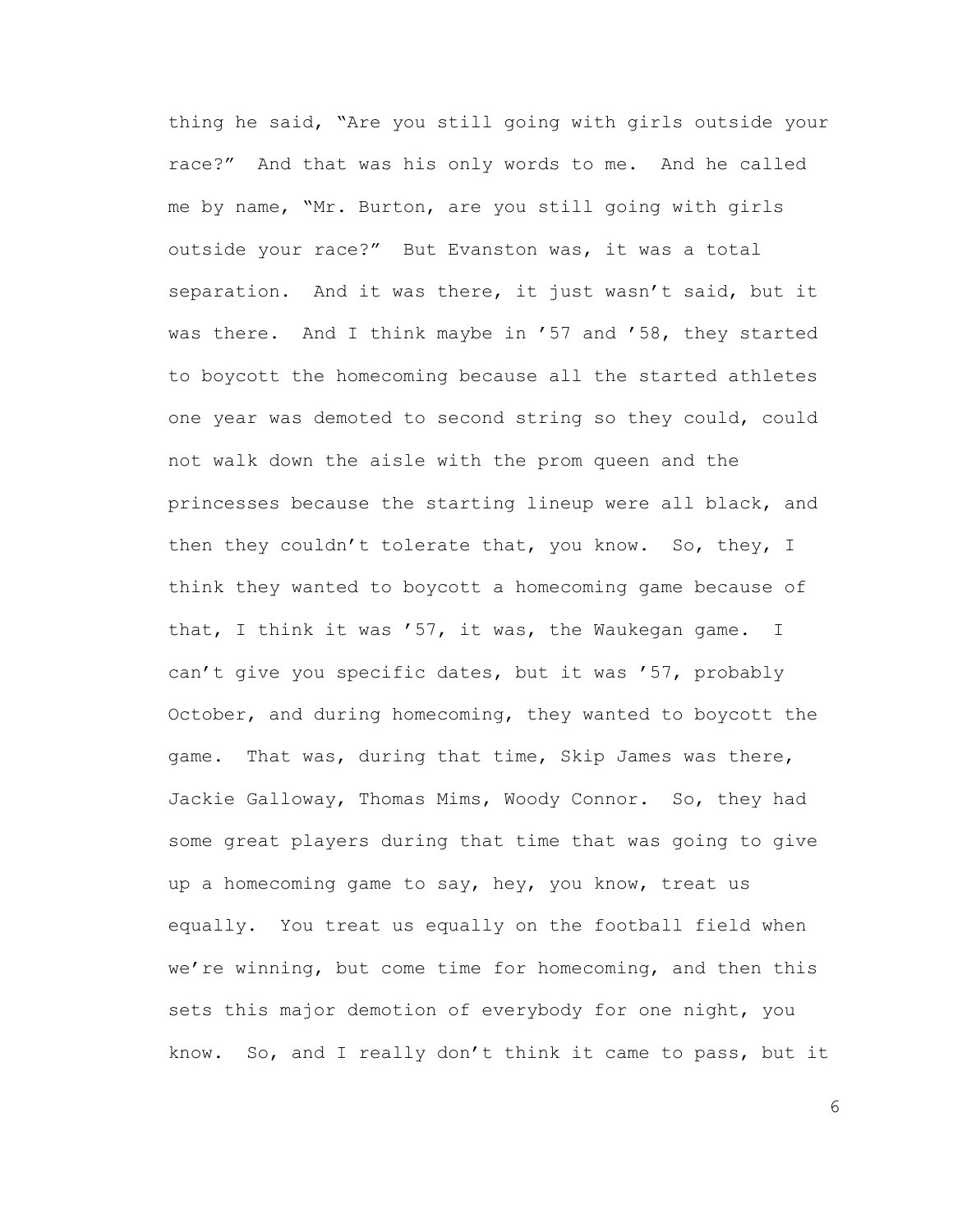thing he said, "Are you still going with girls outside your race?" And that was his only words to me. And he called me by name, "Mr. Burton, are you still going with girls outside your race?" But Evanston was, it was a total separation. And it was there, it just wasn't said, but it was there. And I think maybe in '57 and '58, they started to boycott the homecoming because all the started athletes one year was demoted to second string so they could, could not walk down the aisle with the prom queen and the princesses because the starting lineup were all black, and then they couldn't tolerate that, you know. So, they, I think they wanted to boycott a homecoming game because of that, I think it was '57, it was, the Waukegan game. I can't give you specific dates, but it was '57, probably October, and during homecoming, they wanted to boycott the game. That was, during that time, Skip James was there, Jackie Galloway, Thomas Mims, Woody Connor. So, they had some great players during that time that was going to give up a homecoming game to say, hey, you know, treat us equally. You treat us equally on the football field when we're winning, but come time for homecoming, and then this sets this major demotion of everybody for one night, you know. So, and I really don't think it came to pass, but it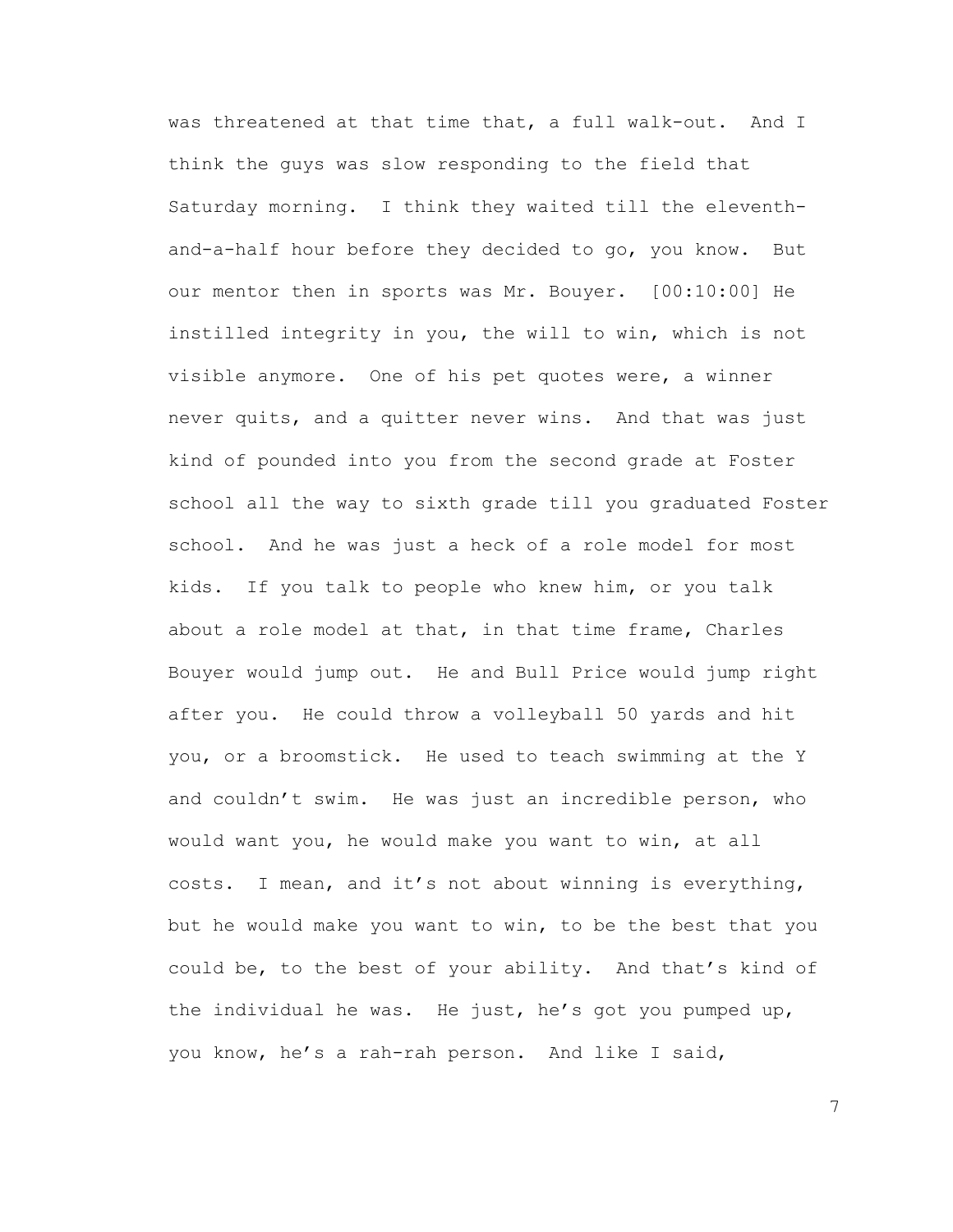was threatened at that time that, a full walk-out. And I think the guys was slow responding to the field that Saturday morning. I think they waited till the eleventhand-a-half hour before they decided to go, you know. But our mentor then in sports was Mr. Bouyer. [00:10:00] He instilled integrity in you, the will to win, which is not visible anymore. One of his pet quotes were, a winner never quits, and a quitter never wins. And that was just kind of pounded into you from the second grade at Foster school all the way to sixth grade till you graduated Foster school. And he was just a heck of a role model for most kids. If you talk to people who knew him, or you talk about a role model at that, in that time frame, Charles Bouyer would jump out. He and Bull Price would jump right after you. He could throw a volleyball 50 yards and hit you, or a broomstick. He used to teach swimming at the Y and couldn't swim. He was just an incredible person, who would want you, he would make you want to win, at all costs. I mean, and it's not about winning is everything, but he would make you want to win, to be the best that you could be, to the best of your ability. And that's kind of the individual he was. He just, he's got you pumped up, you know, he's a rah-rah person. And like I said,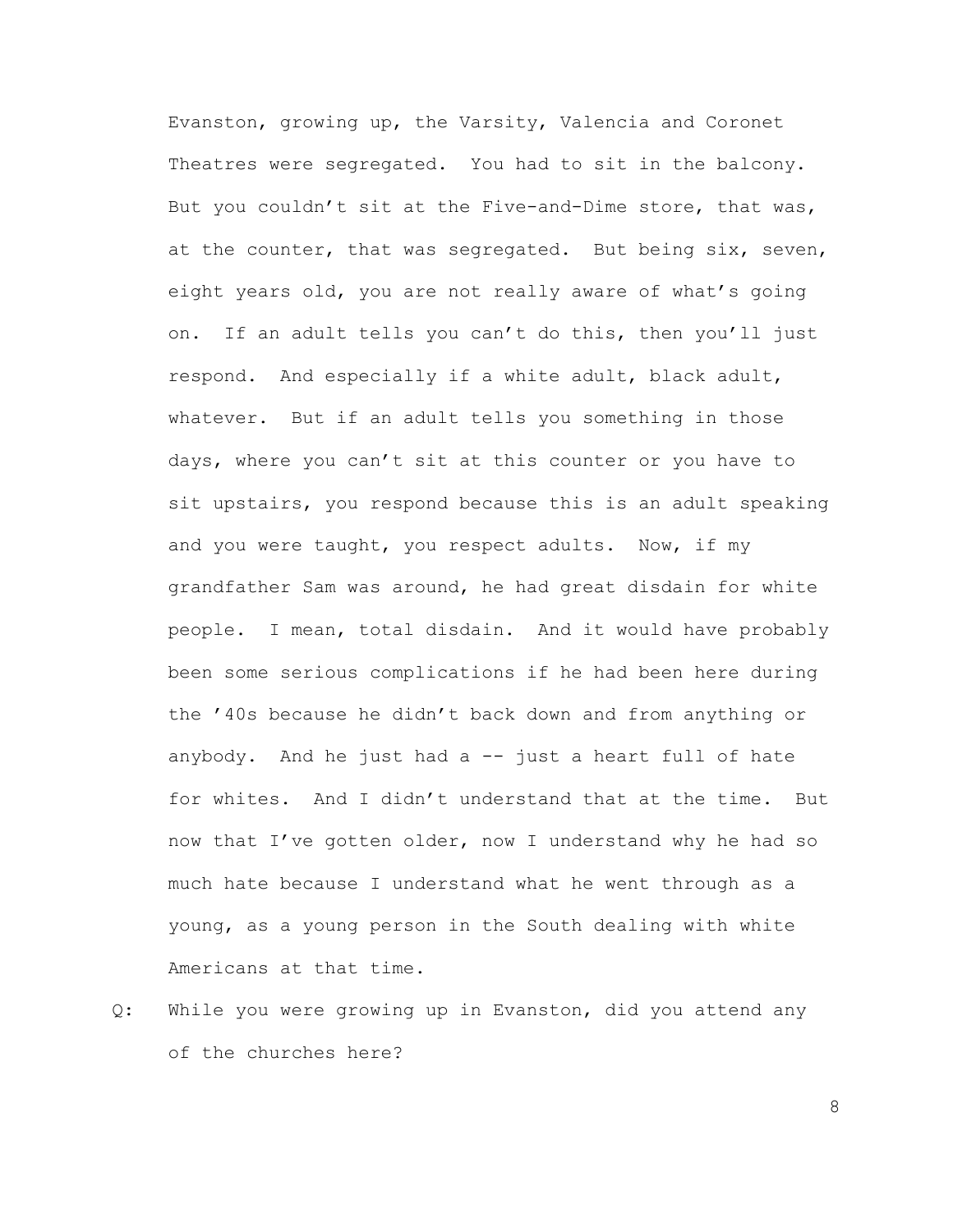Evanston, growing up, the Varsity, Valencia and Coronet Theatres were segregated. You had to sit in the balcony. But you couldn't sit at the Five-and-Dime store, that was, at the counter, that was segregated. But being six, seven, eight years old, you are not really aware of what's going on. If an adult tells you can't do this, then you'll just respond. And especially if a white adult, black adult, whatever. But if an adult tells you something in those days, where you can't sit at this counter or you have to sit upstairs, you respond because this is an adult speaking and you were taught, you respect adults. Now, if my grandfather Sam was around, he had great disdain for white people. I mean, total disdain. And it would have probably been some serious complications if he had been here during the '40s because he didn't back down and from anything or anybody. And he just had  $a$  -- just a heart full of hate for whites. And I didn't understand that at the time. But now that I've gotten older, now I understand why he had so much hate because I understand what he went through as a young, as a young person in the South dealing with white Americans at that time.

Q: While you were growing up in Evanston, did you attend any of the churches here?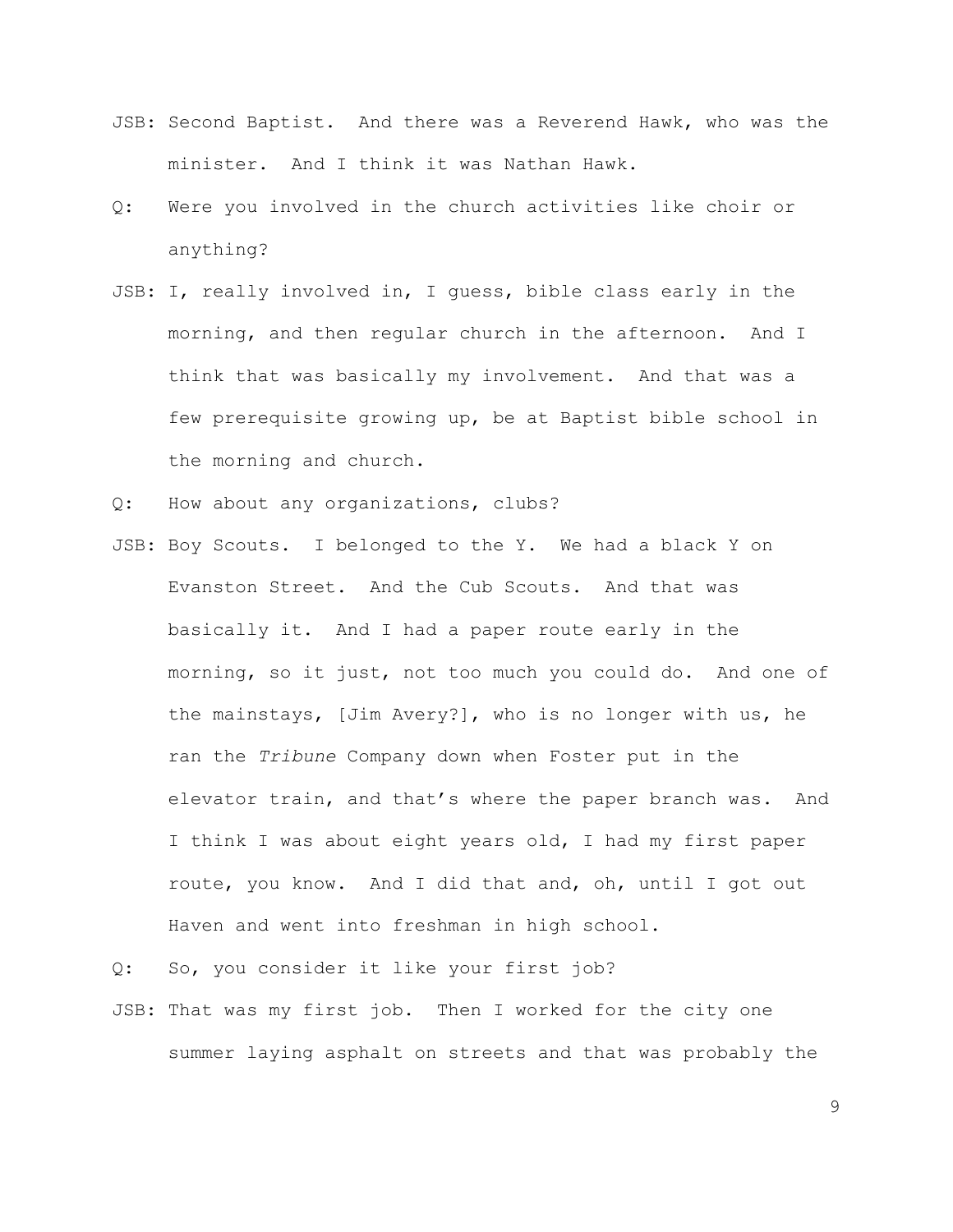- JSB: Second Baptist. And there was a Reverend Hawk, who was the minister. And I think it was Nathan Hawk.
- Q: Were you involved in the church activities like choir or anything?
- JSB: I, really involved in, I guess, bible class early in the morning, and then regular church in the afternoon. And I think that was basically my involvement. And that was a few prerequisite growing up, be at Baptist bible school in the morning and church.
- Q: How about any organizations, clubs?
- JSB: Boy Scouts. I belonged to the Y. We had a black Y on Evanston Street. And the Cub Scouts. And that was basically it. And I had a paper route early in the morning, so it just, not too much you could do. And one of the mainstays, [Jim Avery?], who is no longer with us, he ran the *Tribune* Company down when Foster put in the elevator train, and that's where the paper branch was. And I think I was about eight years old, I had my first paper route, you know. And I did that and, oh, until I got out Haven and went into freshman in high school.

Q: So, you consider it like your first job?

JSB: That was my first job. Then I worked for the city one summer laying asphalt on streets and that was probably the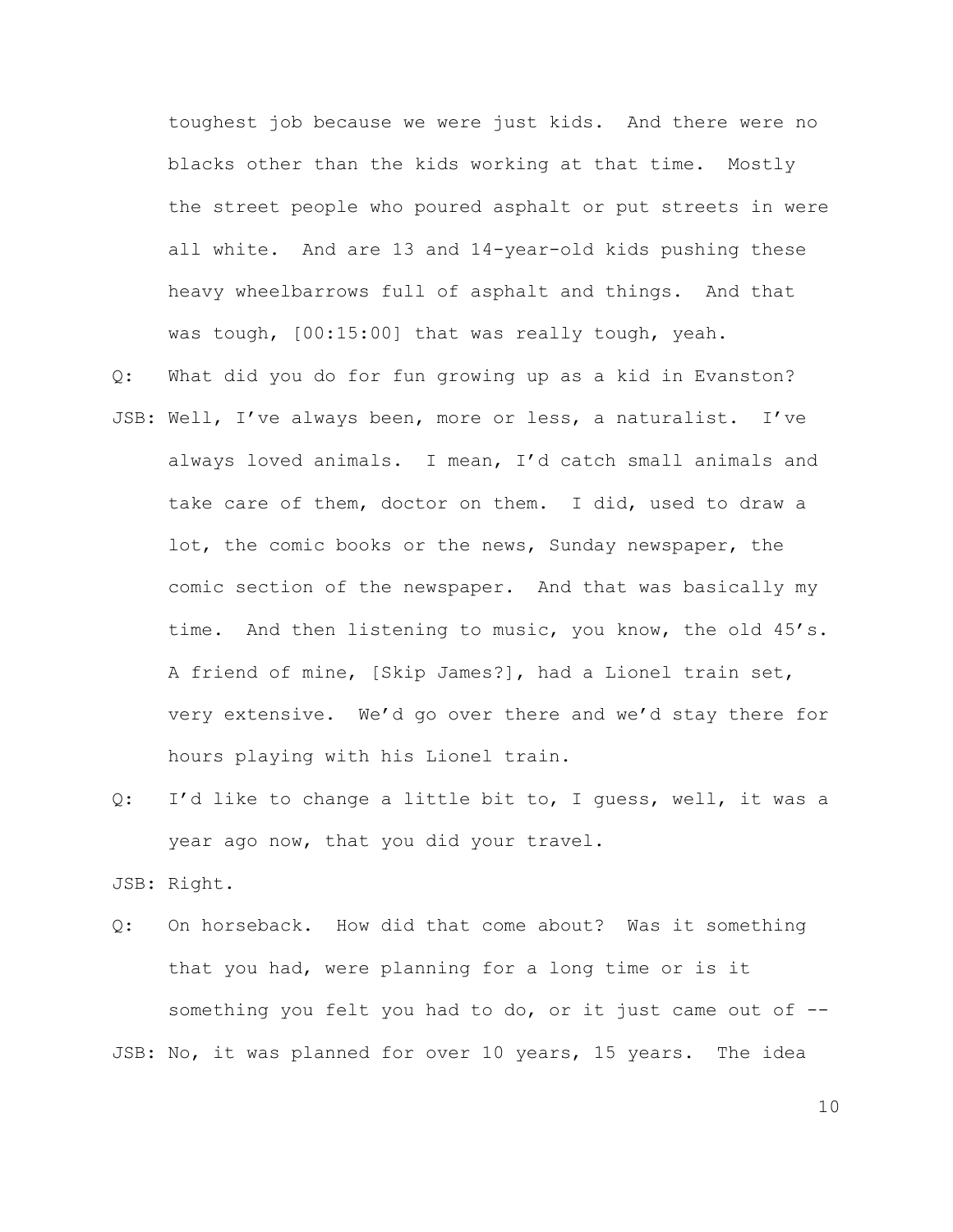toughest job because we were just kids. And there were no blacks other than the kids working at that time. Mostly the street people who poured asphalt or put streets in were all white. And are 13 and 14-year-old kids pushing these heavy wheelbarrows full of asphalt and things. And that was tough, [00:15:00] that was really tough, yeah.

- Q: What did you do for fun growing up as a kid in Evanston? JSB: Well, I've always been, more or less, a naturalist. I've always loved animals. I mean, I'd catch small animals and take care of them, doctor on them. I did, used to draw a lot, the comic books or the news, Sunday newspaper, the comic section of the newspaper. And that was basically my time. And then listening to music, you know, the old 45's. A friend of mine, [Skip James?], had a Lionel train set, very extensive. We'd go over there and we'd stay there for hours playing with his Lionel train.
- Q: I'd like to change a little bit to, I guess, well, it was a year ago now, that you did your travel.

JSB: Right.

Q: On horseback. How did that come about? Was it something that you had, were planning for a long time or is it something you felt you had to do, or it just came out of -- JSB: No, it was planned for over 10 years, 15 years. The idea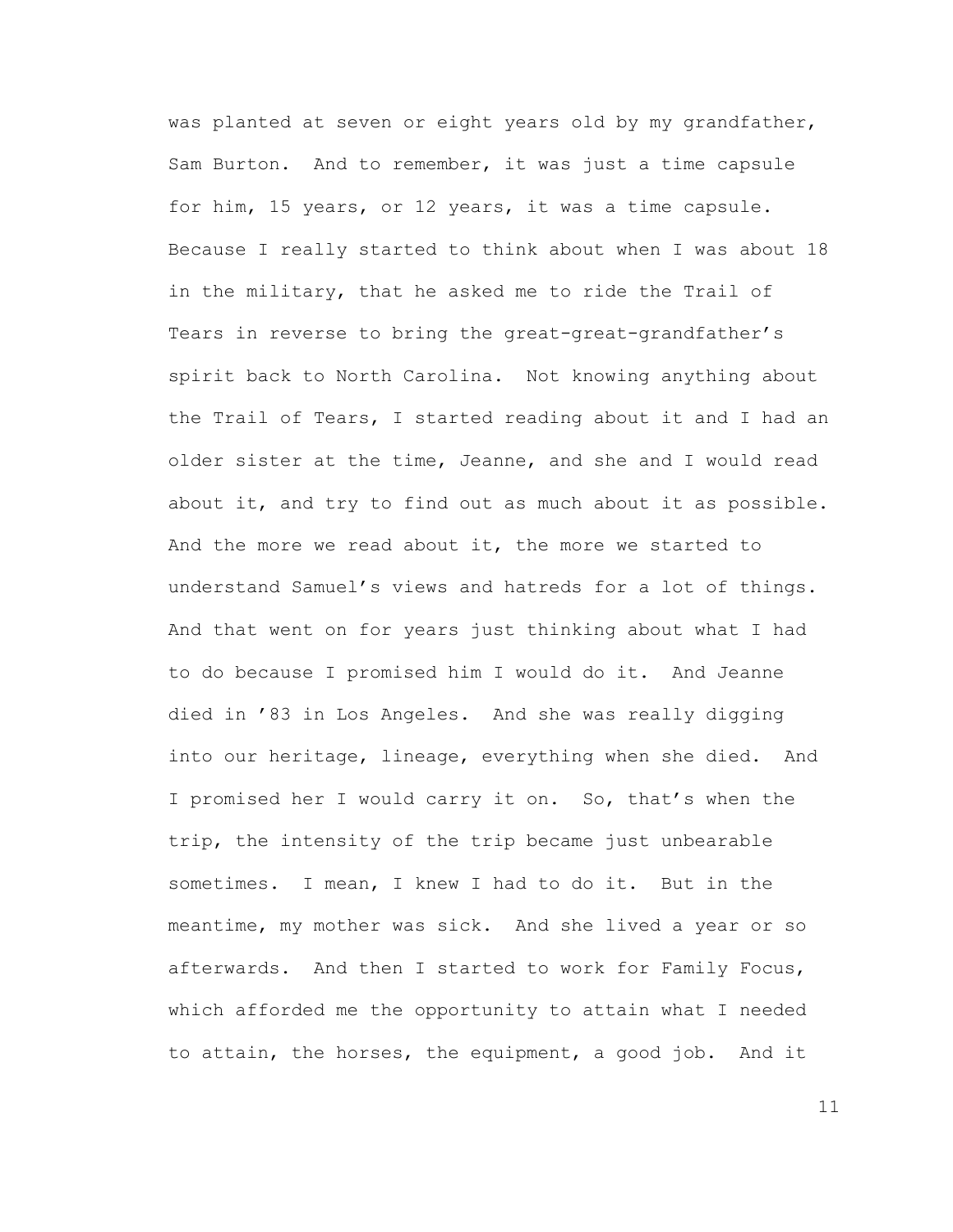was planted at seven or eight years old by my grandfather, Sam Burton. And to remember, it was just a time capsule for him, 15 years, or 12 years, it was a time capsule. Because I really started to think about when I was about 18 in the military, that he asked me to ride the Trail of Tears in reverse to bring the great-great-grandfather's spirit back to North Carolina. Not knowing anything about the Trail of Tears, I started reading about it and I had an older sister at the time, Jeanne, and she and I would read about it, and try to find out as much about it as possible. And the more we read about it, the more we started to understand Samuel's views and hatreds for a lot of things. And that went on for years just thinking about what I had to do because I promised him I would do it. And Jeanne died in '83 in Los Angeles. And she was really digging into our heritage, lineage, everything when she died. And I promised her I would carry it on. So, that's when the trip, the intensity of the trip became just unbearable sometimes. I mean, I knew I had to do it. But in the meantime, my mother was sick. And she lived a year or so afterwards. And then I started to work for Family Focus, which afforded me the opportunity to attain what I needed to attain, the horses, the equipment, a good job. And it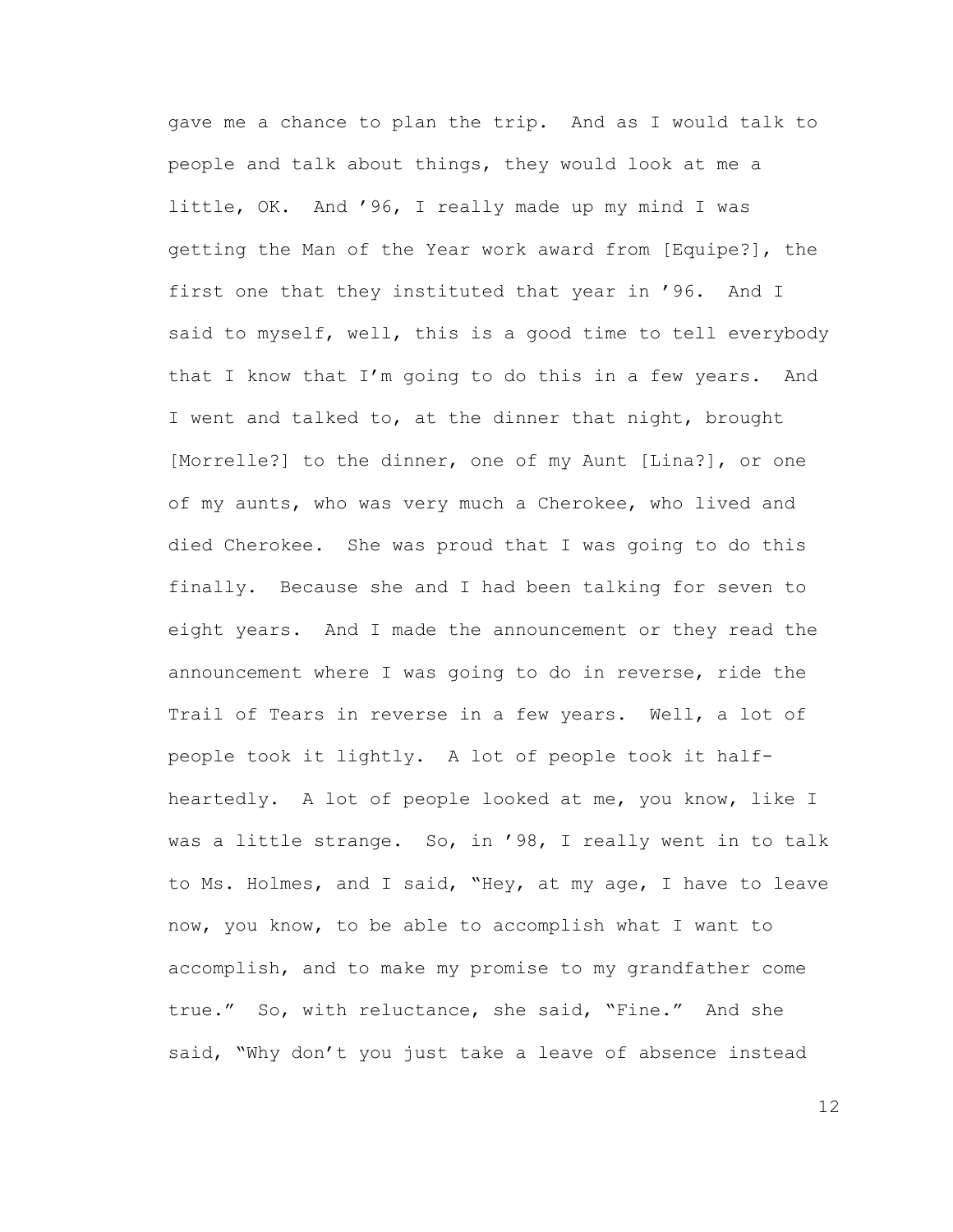gave me a chance to plan the trip. And as I would talk to people and talk about things, they would look at me a little, OK. And '96, I really made up my mind I was getting the Man of the Year work award from [Equipe?], the first one that they instituted that year in '96. And I said to myself, well, this is a good time to tell everybody that I know that I'm going to do this in a few years. And I went and talked to, at the dinner that night, brought [Morrelle?] to the dinner, one of my Aunt [Lina?], or one of my aunts, who was very much a Cherokee, who lived and died Cherokee. She was proud that I was going to do this finally. Because she and I had been talking for seven to eight years. And I made the announcement or they read the announcement where I was going to do in reverse, ride the Trail of Tears in reverse in a few years. Well, a lot of people took it lightly. A lot of people took it halfheartedly. A lot of people looked at me, you know, like I was a little strange. So, in '98, I really went in to talk to Ms. Holmes, and I said, "Hey, at my age, I have to leave now, you know, to be able to accomplish what I want to accomplish, and to make my promise to my grandfather come true." So, with reluctance, she said, "Fine." And she said, "Why don't you just take a leave of absence instead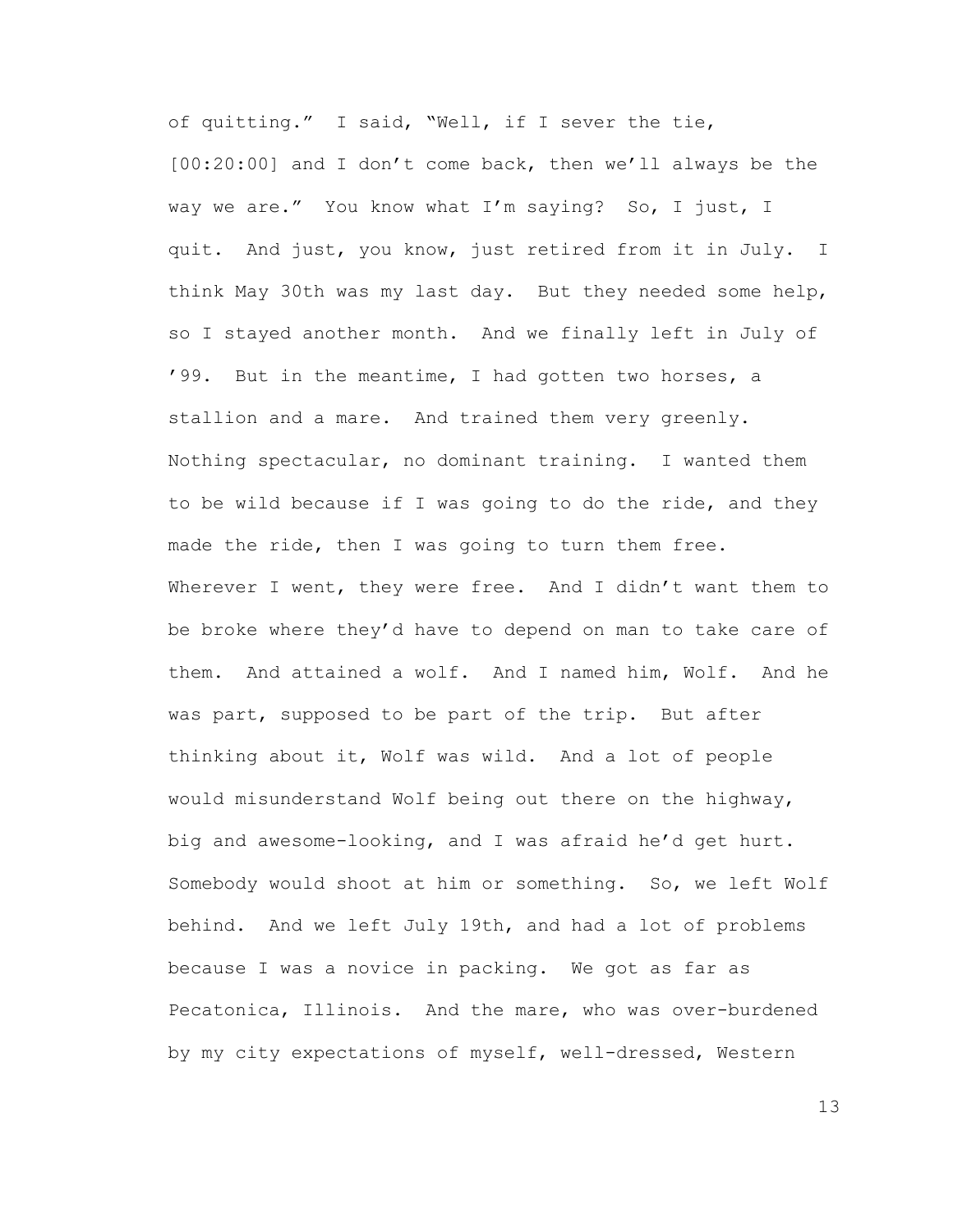of quitting." I said, "Well, if I sever the tie, [00:20:00] and I don't come back, then we'll always be the way we are." You know what I'm saying? So, I just, I quit. And just, you know, just retired from it in July. I think May 30th was my last day. But they needed some help, so I stayed another month. And we finally left in July of '99. But in the meantime, I had gotten two horses, a stallion and a mare. And trained them very greenly. Nothing spectacular, no dominant training. I wanted them to be wild because if I was going to do the ride, and they made the ride, then I was going to turn them free. Wherever I went, they were free. And I didn't want them to be broke where they'd have to depend on man to take care of them. And attained a wolf. And I named him, Wolf. And he was part, supposed to be part of the trip. But after thinking about it, Wolf was wild. And a lot of people would misunderstand Wolf being out there on the highway, big and awesome-looking, and I was afraid he'd get hurt. Somebody would shoot at him or something. So, we left Wolf behind. And we left July 19th, and had a lot of problems because I was a novice in packing. We got as far as Pecatonica, Illinois. And the mare, who was over-burdened by my city expectations of myself, well-dressed, Western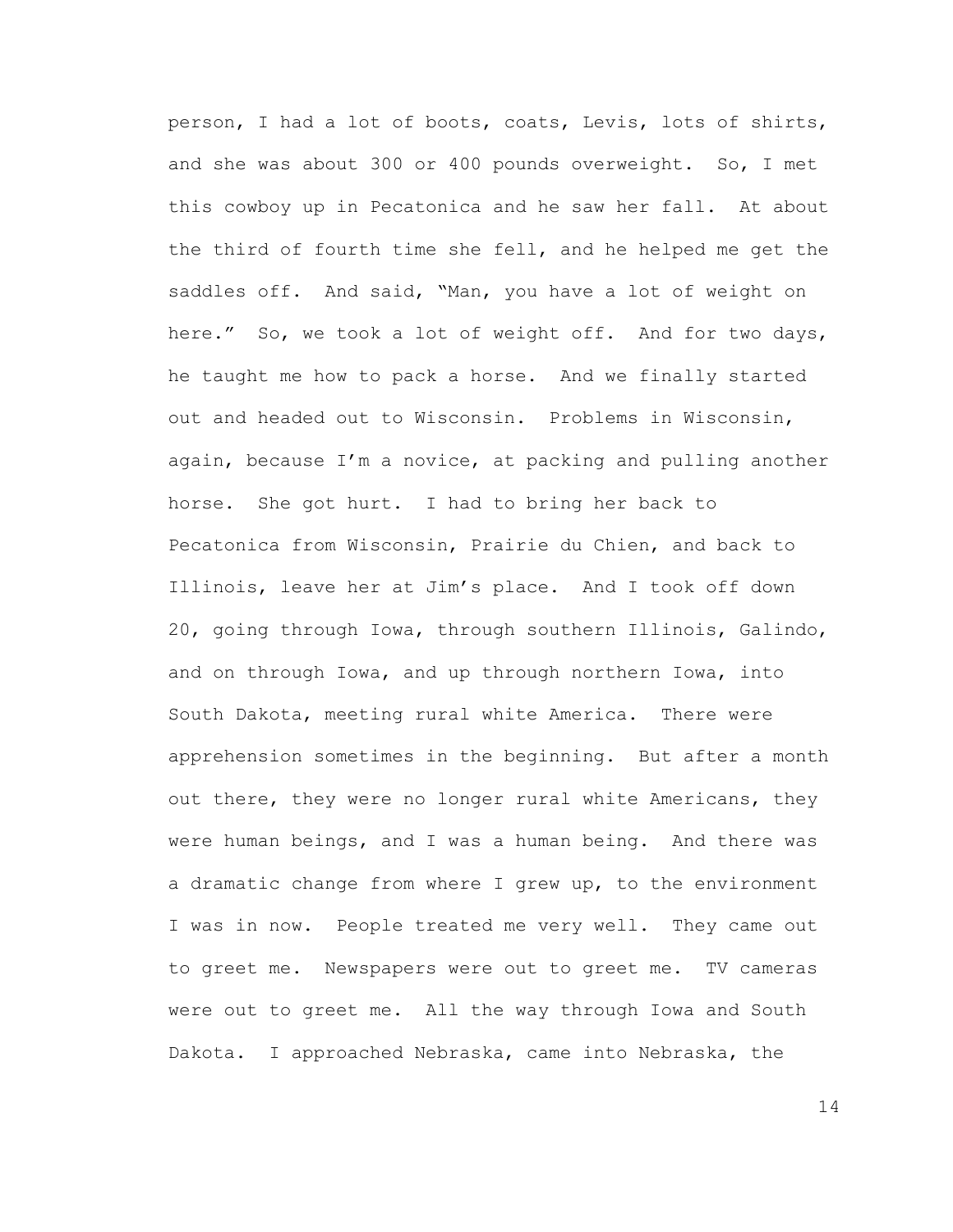person, I had a lot of boots, coats, Levis, lots of shirts, and she was about 300 or 400 pounds overweight. So, I met this cowboy up in Pecatonica and he saw her fall. At about the third of fourth time she fell, and he helped me get the saddles off. And said, "Man, you have a lot of weight on here." So, we took a lot of weight off. And for two days, he taught me how to pack a horse. And we finally started out and headed out to Wisconsin. Problems in Wisconsin, again, because I'm a novice, at packing and pulling another horse. She got hurt. I had to bring her back to Pecatonica from Wisconsin, Prairie du Chien, and back to Illinois, leave her at Jim's place. And I took off down 20, going through Iowa, through southern Illinois, Galindo, and on through Iowa, and up through northern Iowa, into South Dakota, meeting rural white America. There were apprehension sometimes in the beginning. But after a month out there, they were no longer rural white Americans, they were human beings, and I was a human being. And there was a dramatic change from where I grew up, to the environment I was in now. People treated me very well. They came out to greet me. Newspapers were out to greet me. TV cameras were out to greet me. All the way through Iowa and South Dakota. I approached Nebraska, came into Nebraska, the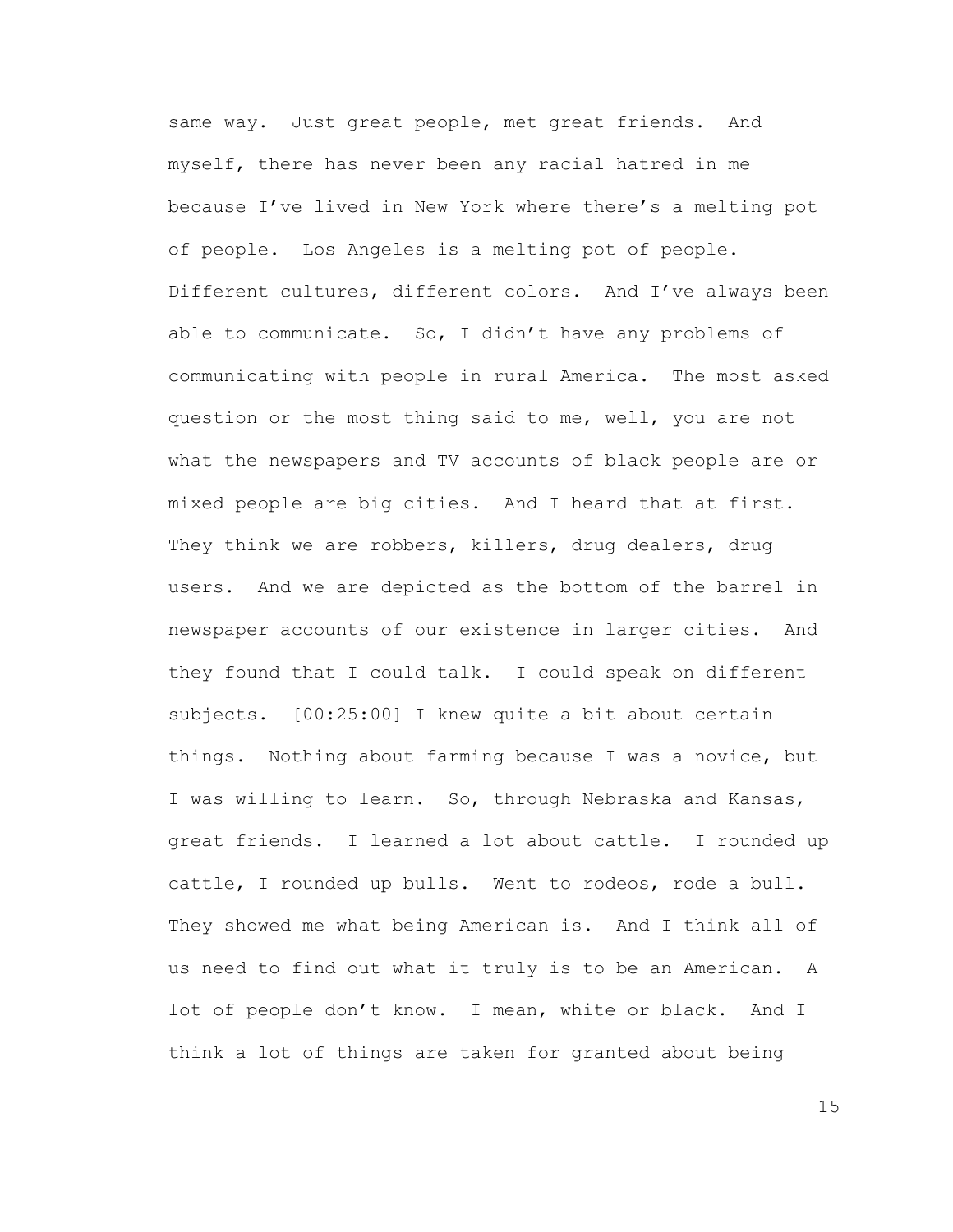same way. Just great people, met great friends. And myself, there has never been any racial hatred in me because I've lived in New York where there's a melting pot of people. Los Angeles is a melting pot of people. Different cultures, different colors. And I've always been able to communicate. So, I didn't have any problems of communicating with people in rural America. The most asked question or the most thing said to me, well, you are not what the newspapers and TV accounts of black people are or mixed people are big cities. And I heard that at first. They think we are robbers, killers, drug dealers, drug users. And we are depicted as the bottom of the barrel in newspaper accounts of our existence in larger cities. And they found that I could talk. I could speak on different subjects. [00:25:00] I knew quite a bit about certain things. Nothing about farming because I was a novice, but I was willing to learn. So, through Nebraska and Kansas, great friends. I learned a lot about cattle. I rounded up cattle, I rounded up bulls. Went to rodeos, rode a bull. They showed me what being American is. And I think all of us need to find out what it truly is to be an American. A lot of people don't know. I mean, white or black. And I think a lot of things are taken for granted about being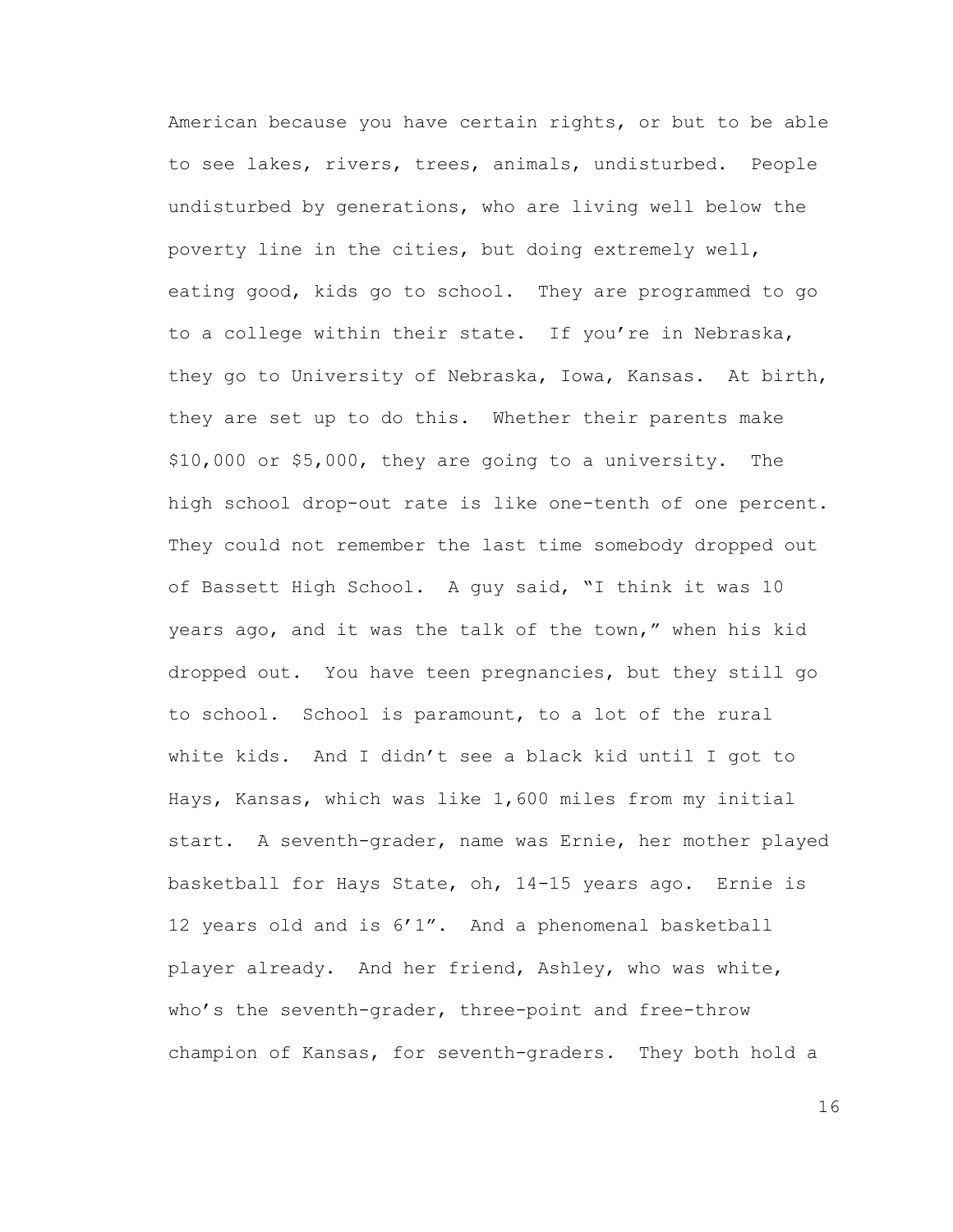American because you have certain rights, or but to be able to see lakes, rivers, trees, animals, undisturbed. People undisturbed by generations, who are living well below the poverty line in the cities, but doing extremely well, eating good, kids go to school. They are programmed to go to a college within their state. If you're in Nebraska, they go to University of Nebraska, Iowa, Kansas. At birth, they are set up to do this. Whether their parents make \$10,000 or \$5,000, they are going to a university. The high school drop-out rate is like one-tenth of one percent. They could not remember the last time somebody dropped out of Bassett High School. A guy said, "I think it was 10 years ago, and it was the talk of the town," when his kid dropped out. You have teen pregnancies, but they still go to school. School is paramount, to a lot of the rural white kids. And I didn't see a black kid until I got to Hays, Kansas, which was like 1,600 miles from my initial start. A seventh-grader, name was Ernie, her mother played basketball for Hays State, oh, 14-15 years ago. Ernie is 12 years old and is 6'1". And a phenomenal basketball player already. And her friend, Ashley, who was white, who's the seventh-grader, three-point and free-throw champion of Kansas, for seventh-graders. They both hold a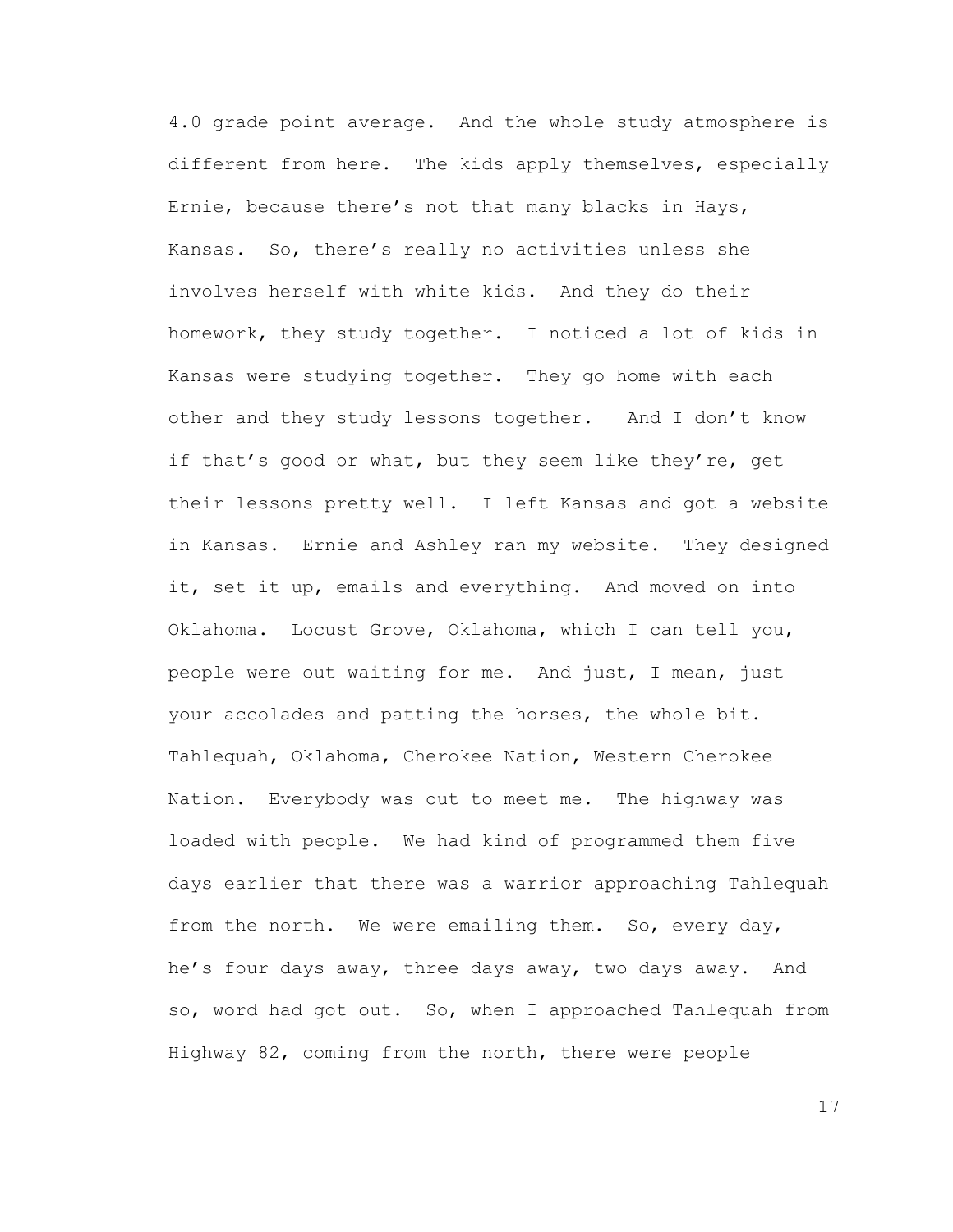4.0 grade point average. And the whole study atmosphere is different from here. The kids apply themselves, especially Ernie, because there's not that many blacks in Hays, Kansas. So, there's really no activities unless she involves herself with white kids. And they do their homework, they study together. I noticed a lot of kids in Kansas were studying together. They go home with each other and they study lessons together. And I don't know if that's good or what, but they seem like they're, get their lessons pretty well. I left Kansas and got a website in Kansas. Ernie and Ashley ran my website. They designed it, set it up, emails and everything. And moved on into Oklahoma. Locust Grove, Oklahoma, which I can tell you, people were out waiting for me. And just, I mean, just your accolades and patting the horses, the whole bit. Tahlequah, Oklahoma, Cherokee Nation, Western Cherokee Nation. Everybody was out to meet me. The highway was loaded with people. We had kind of programmed them five days earlier that there was a warrior approaching Tahlequah from the north. We were emailing them. So, every day, he's four days away, three days away, two days away. And so, word had got out. So, when I approached Tahlequah from Highway 82, coming from the north, there were people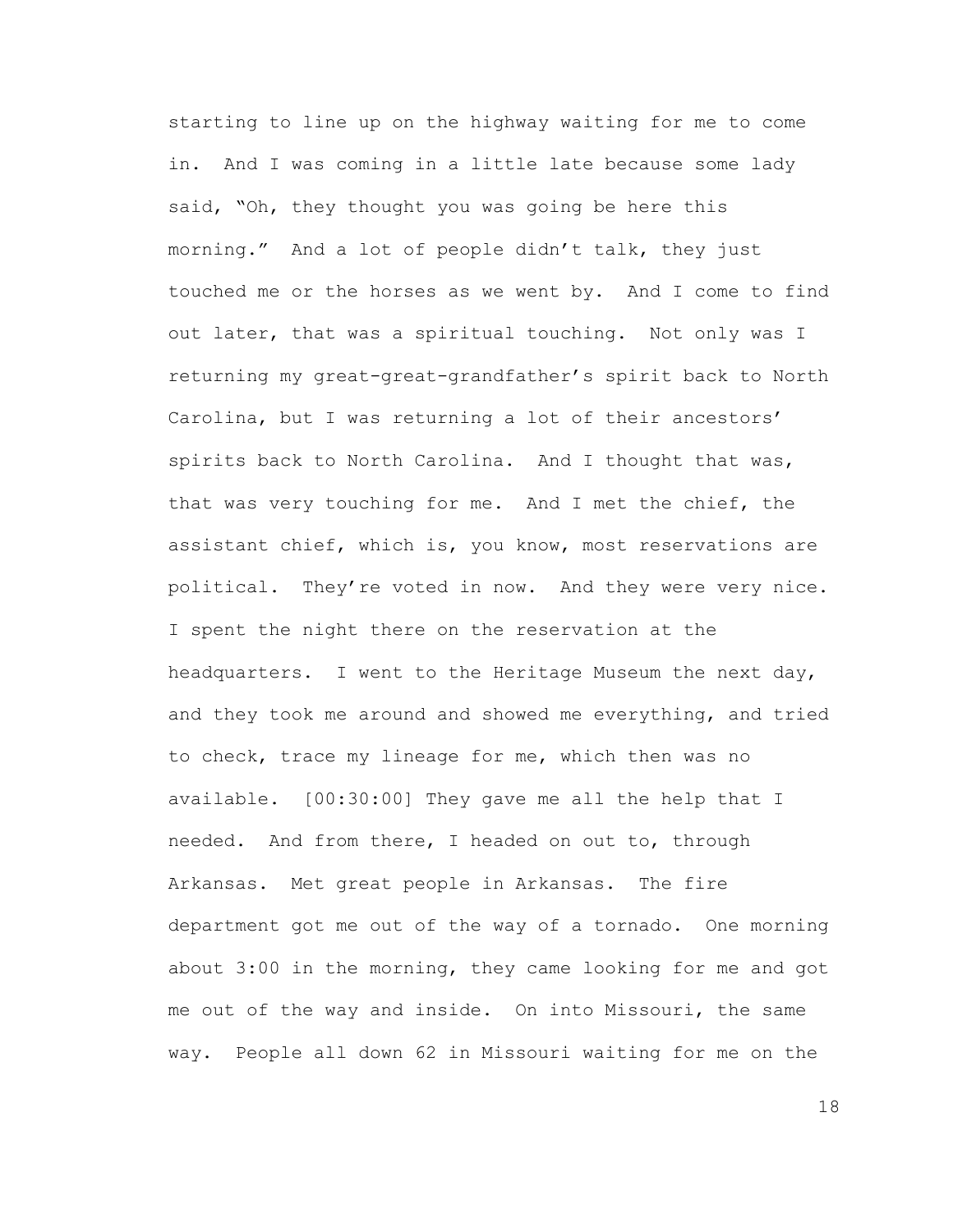starting to line up on the highway waiting for me to come in. And I was coming in a little late because some lady said, "Oh, they thought you was going be here this morning." And a lot of people didn't talk, they just touched me or the horses as we went by. And I come to find out later, that was a spiritual touching. Not only was I returning my great-great-grandfather's spirit back to North Carolina, but I was returning a lot of their ancestors' spirits back to North Carolina. And I thought that was, that was very touching for me. And I met the chief, the assistant chief, which is, you know, most reservations are political. They're voted in now. And they were very nice. I spent the night there on the reservation at the headquarters. I went to the Heritage Museum the next day, and they took me around and showed me everything, and tried to check, trace my lineage for me, which then was no available. [00:30:00] They gave me all the help that I needed. And from there, I headed on out to, through Arkansas. Met great people in Arkansas. The fire department got me out of the way of a tornado. One morning about 3:00 in the morning, they came looking for me and got me out of the way and inside. On into Missouri, the same way. People all down 62 in Missouri waiting for me on the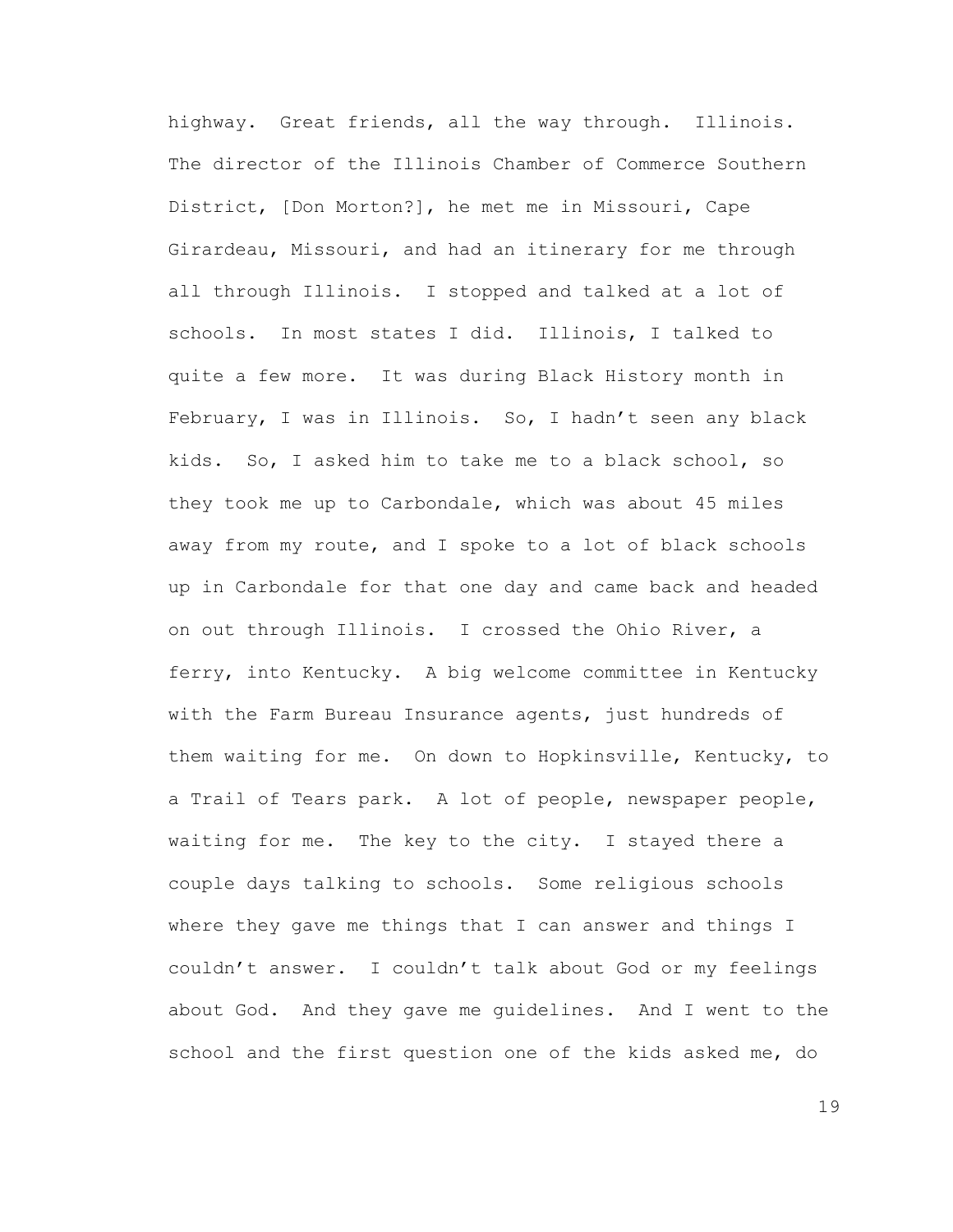highway. Great friends, all the way through. Illinois. The director of the Illinois Chamber of Commerce Southern District, [Don Morton?], he met me in Missouri, Cape Girardeau, Missouri, and had an itinerary for me through all through Illinois. I stopped and talked at a lot of schools. In most states I did. Illinois, I talked to quite a few more. It was during Black History month in February, I was in Illinois. So, I hadn't seen any black kids. So, I asked him to take me to a black school, so they took me up to Carbondale, which was about 45 miles away from my route, and I spoke to a lot of black schools up in Carbondale for that one day and came back and headed on out through Illinois. I crossed the Ohio River, a ferry, into Kentucky. A big welcome committee in Kentucky with the Farm Bureau Insurance agents, just hundreds of them waiting for me. On down to Hopkinsville, Kentucky, to a Trail of Tears park. A lot of people, newspaper people, waiting for me. The key to the city. I stayed there a couple days talking to schools. Some religious schools where they gave me things that I can answer and things I couldn't answer. I couldn't talk about God or my feelings about God. And they gave me guidelines. And I went to the school and the first question one of the kids asked me, do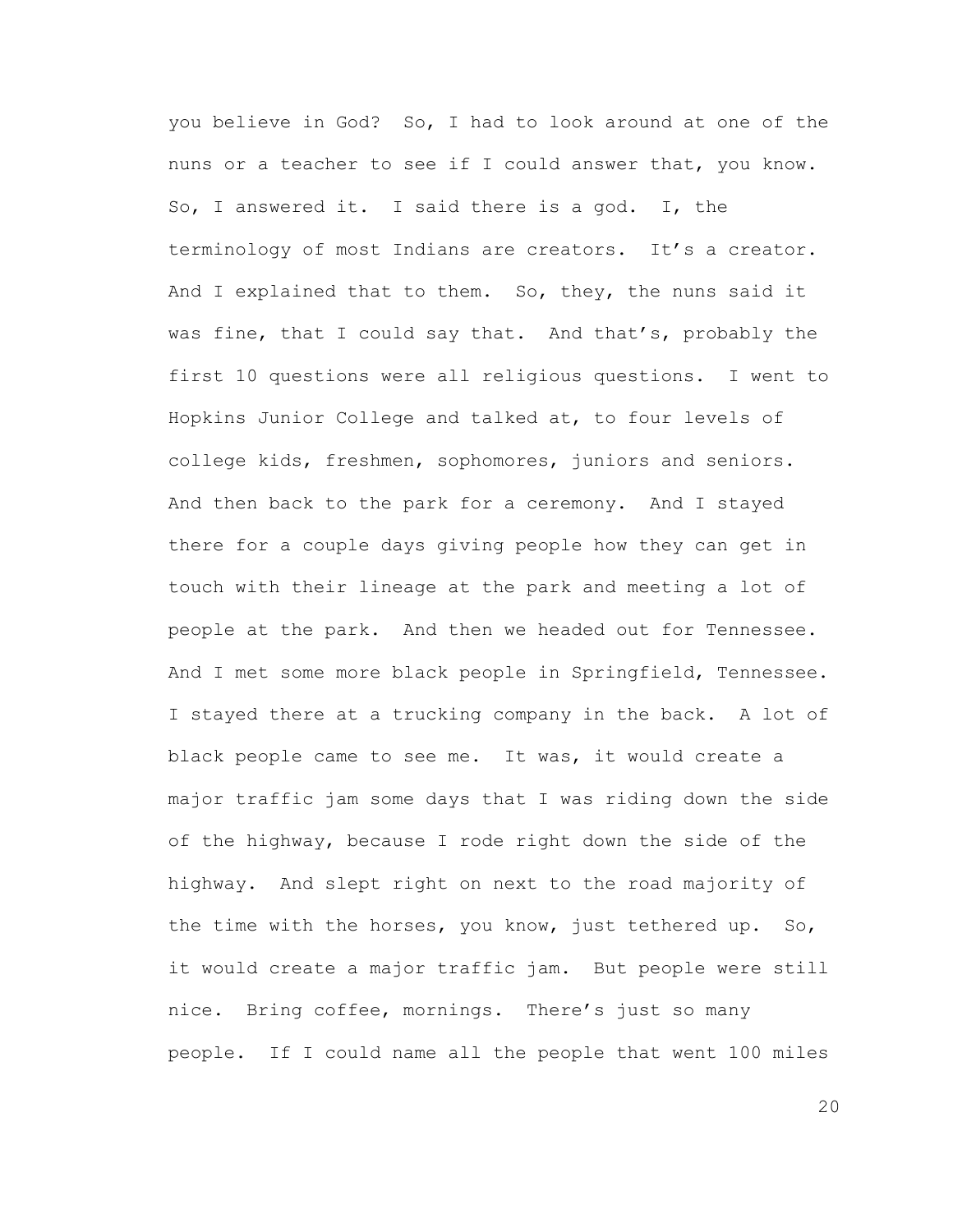you believe in God? So, I had to look around at one of the nuns or a teacher to see if I could answer that, you know. So, I answered it. I said there is a god. I, the terminology of most Indians are creators. It's a creator. And I explained that to them. So, they, the nuns said it was fine, that I could say that. And that's, probably the first 10 questions were all religious questions. I went to Hopkins Junior College and talked at, to four levels of college kids, freshmen, sophomores, juniors and seniors. And then back to the park for a ceremony. And I stayed there for a couple days giving people how they can get in touch with their lineage at the park and meeting a lot of people at the park. And then we headed out for Tennessee. And I met some more black people in Springfield, Tennessee. I stayed there at a trucking company in the back. A lot of black people came to see me. It was, it would create a major traffic jam some days that I was riding down the side of the highway, because I rode right down the side of the highway. And slept right on next to the road majority of the time with the horses, you know, just tethered up. So, it would create a major traffic jam. But people were still nice. Bring coffee, mornings. There's just so many people. If I could name all the people that went 100 miles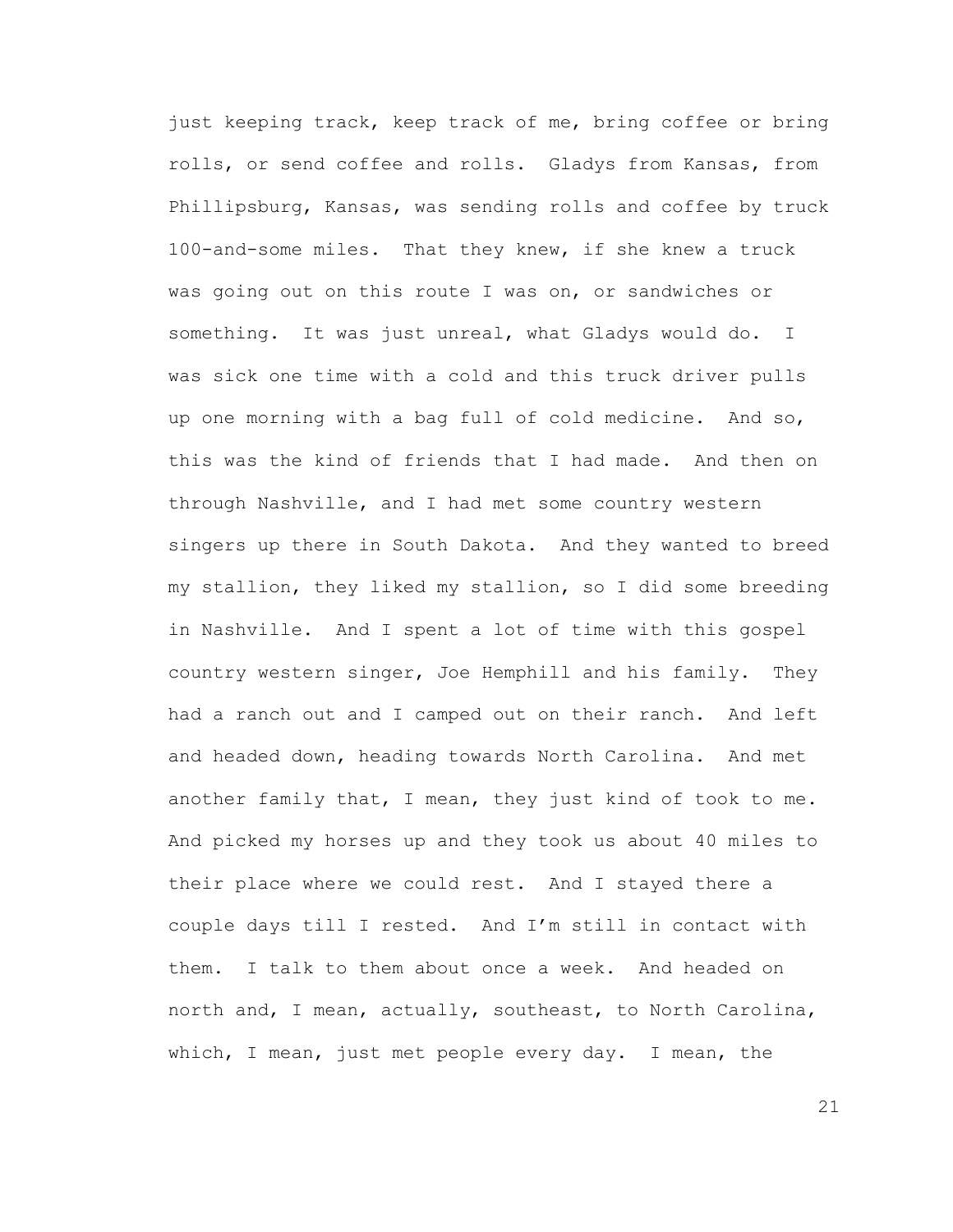just keeping track, keep track of me, bring coffee or bring rolls, or send coffee and rolls. Gladys from Kansas, from Phillipsburg, Kansas, was sending rolls and coffee by truck 100-and-some miles. That they knew, if she knew a truck was going out on this route I was on, or sandwiches or something. It was just unreal, what Gladys would do. I was sick one time with a cold and this truck driver pulls up one morning with a bag full of cold medicine. And so, this was the kind of friends that I had made. And then on through Nashville, and I had met some country western singers up there in South Dakota. And they wanted to breed my stallion, they liked my stallion, so I did some breeding in Nashville. And I spent a lot of time with this gospel country western singer, Joe Hemphill and his family. They had a ranch out and I camped out on their ranch. And left and headed down, heading towards North Carolina. And met another family that, I mean, they just kind of took to me. And picked my horses up and they took us about 40 miles to their place where we could rest. And I stayed there a couple days till I rested. And I'm still in contact with them. I talk to them about once a week. And headed on north and, I mean, actually, southeast, to North Carolina, which, I mean, just met people every day. I mean, the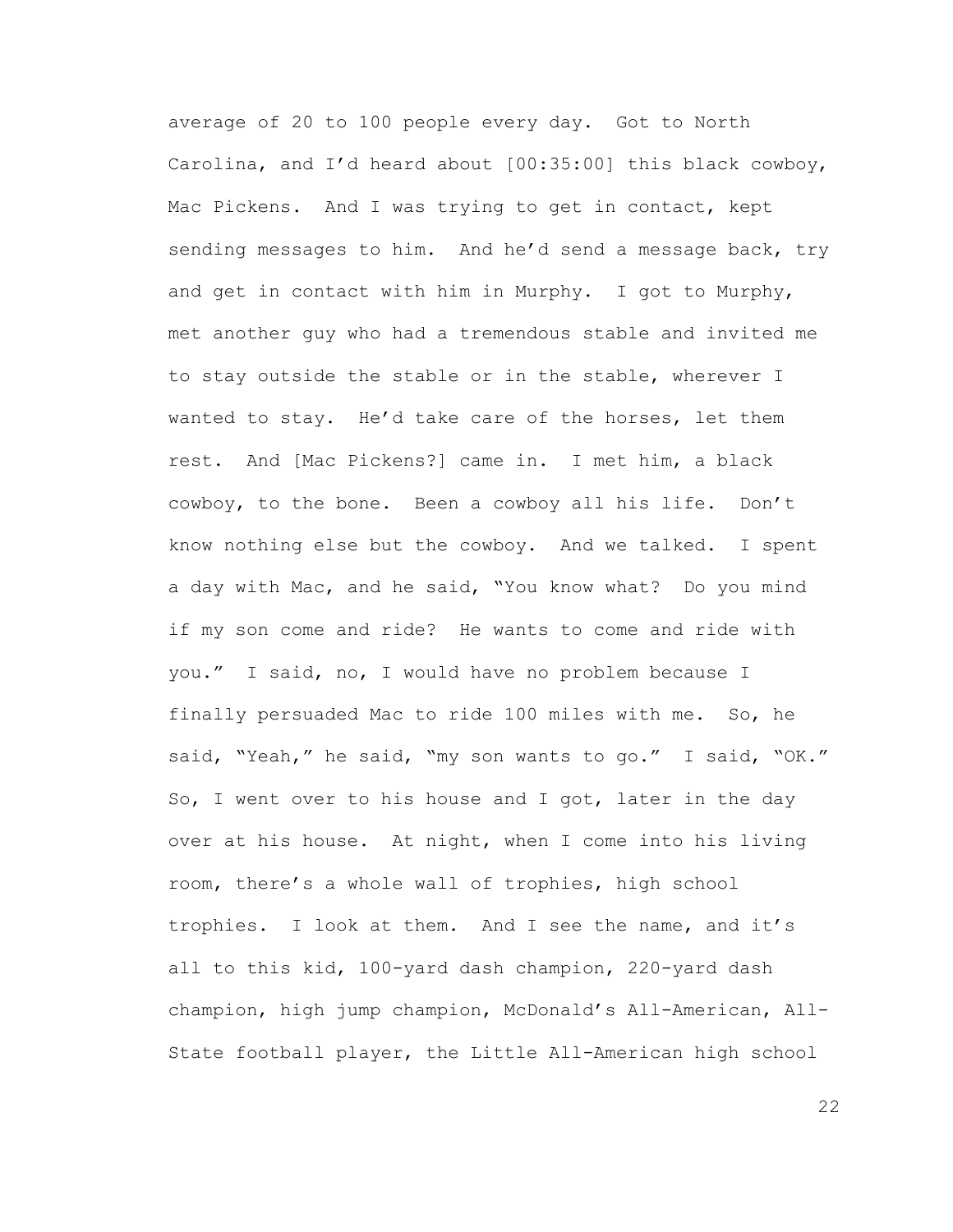average of 20 to 100 people every day. Got to North Carolina, and I'd heard about [00:35:00] this black cowboy, Mac Pickens. And I was trying to get in contact, kept sending messages to him. And he'd send a message back, try and get in contact with him in Murphy. I got to Murphy, met another guy who had a tremendous stable and invited me to stay outside the stable or in the stable, wherever I wanted to stay. He'd take care of the horses, let them rest. And [Mac Pickens?] came in. I met him, a black cowboy, to the bone. Been a cowboy all his life. Don't know nothing else but the cowboy. And we talked. I spent a day with Mac, and he said, "You know what? Do you mind if my son come and ride? He wants to come and ride with you." I said, no, I would have no problem because I finally persuaded Mac to ride 100 miles with me. So, he said, "Yeah," he said, "my son wants to go." I said, "OK." So, I went over to his house and I got, later in the day over at his house. At night, when I come into his living room, there's a whole wall of trophies, high school trophies. I look at them. And I see the name, and it's all to this kid, 100-yard dash champion, 220-yard dash champion, high jump champion, McDonald's All-American, All-State football player, the Little All-American high school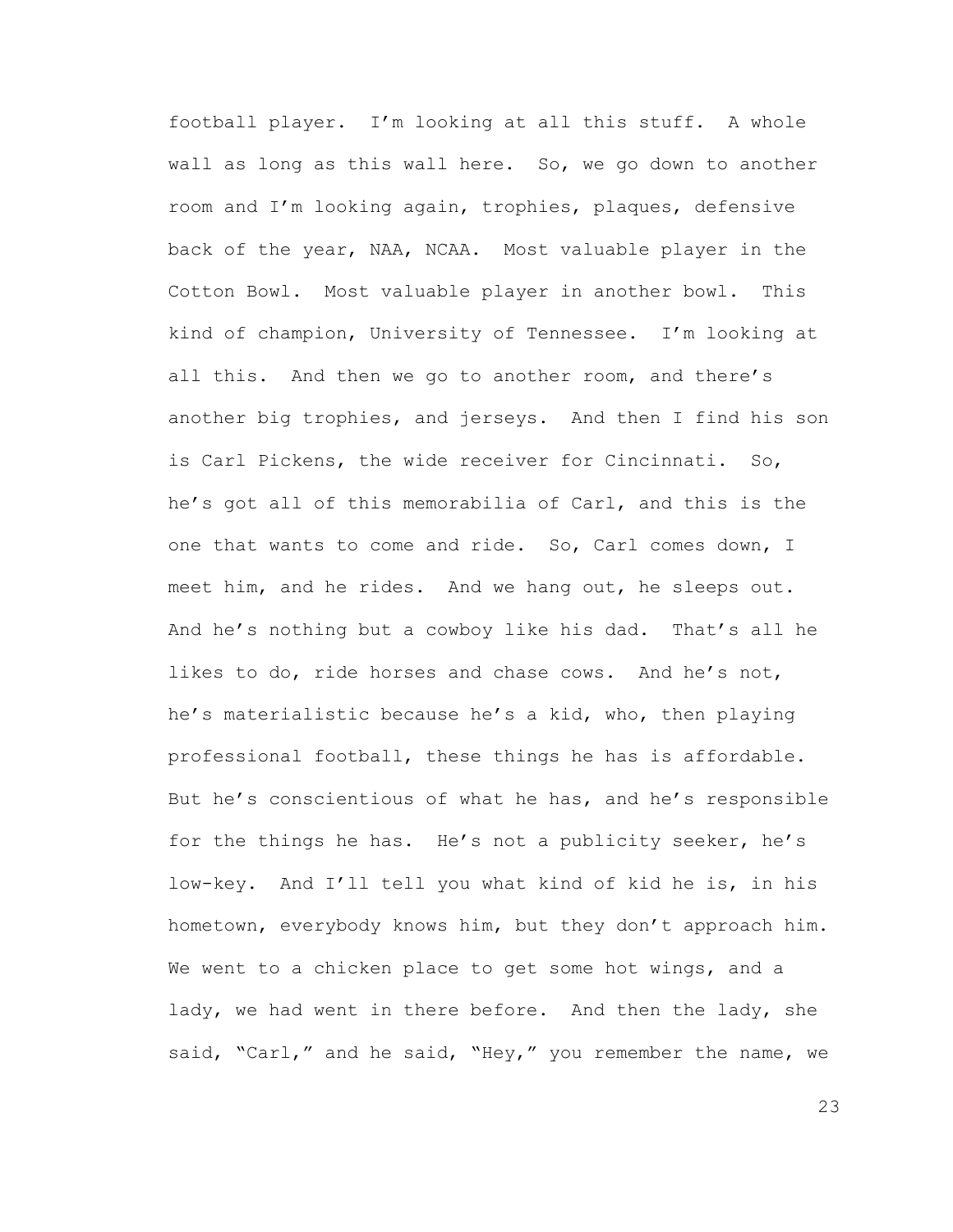football player. I'm looking at all this stuff. A whole wall as long as this wall here. So, we go down to another room and I'm looking again, trophies, plaques, defensive back of the year, NAA, NCAA. Most valuable player in the Cotton Bowl. Most valuable player in another bowl. This kind of champion, University of Tennessee. I'm looking at all this. And then we go to another room, and there's another big trophies, and jerseys. And then I find his son is Carl Pickens, the wide receiver for Cincinnati. So, he's got all of this memorabilia of Carl, and this is the one that wants to come and ride. So, Carl comes down, I meet him, and he rides. And we hang out, he sleeps out. And he's nothing but a cowboy like his dad. That's all he likes to do, ride horses and chase cows. And he's not, he's materialistic because he's a kid, who, then playing professional football, these things he has is affordable. But he's conscientious of what he has, and he's responsible for the things he has. He's not a publicity seeker, he's low-key. And I'll tell you what kind of kid he is, in his hometown, everybody knows him, but they don't approach him. We went to a chicken place to get some hot wings, and a lady, we had went in there before. And then the lady, she said, "Carl," and he said, "Hey," you remember the name, we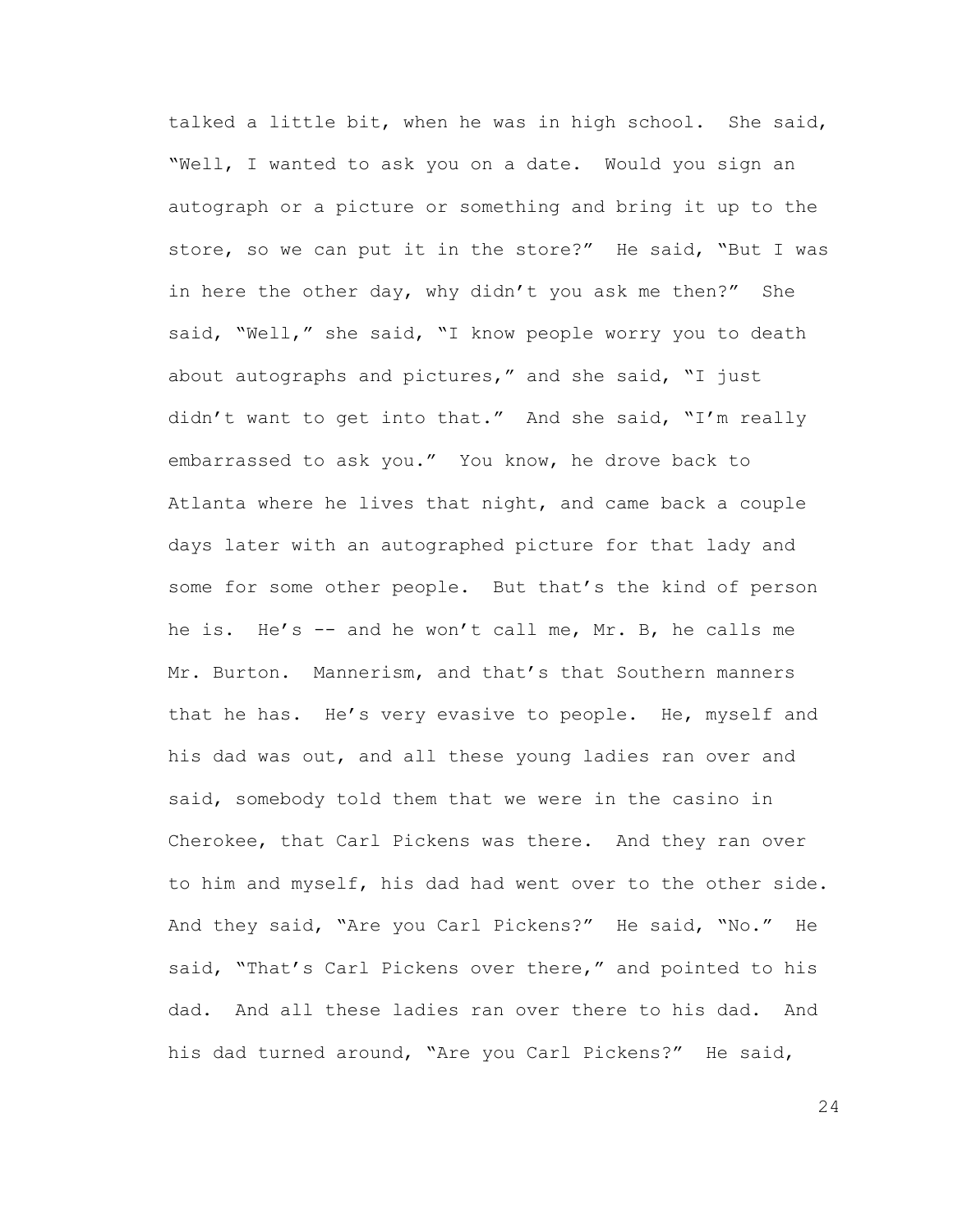talked a little bit, when he was in high school. She said, "Well, I wanted to ask you on a date. Would you sign an autograph or a picture or something and bring it up to the store, so we can put it in the store?" He said, "But I was in here the other day, why didn't you ask me then?" She said, "Well," she said, "I know people worry you to death about autographs and pictures," and she said, "I just didn't want to get into that." And she said, "I'm really embarrassed to ask you." You know, he drove back to Atlanta where he lives that night, and came back a couple days later with an autographed picture for that lady and some for some other people. But that's the kind of person he is. He's -- and he won't call me, Mr. B, he calls me Mr. Burton. Mannerism, and that's that Southern manners that he has. He's very evasive to people. He, myself and his dad was out, and all these young ladies ran over and said, somebody told them that we were in the casino in Cherokee, that Carl Pickens was there. And they ran over to him and myself, his dad had went over to the other side. And they said, "Are you Carl Pickens?" He said, "No." He said, "That's Carl Pickens over there," and pointed to his dad. And all these ladies ran over there to his dad. And his dad turned around, "Are you Carl Pickens?" He said,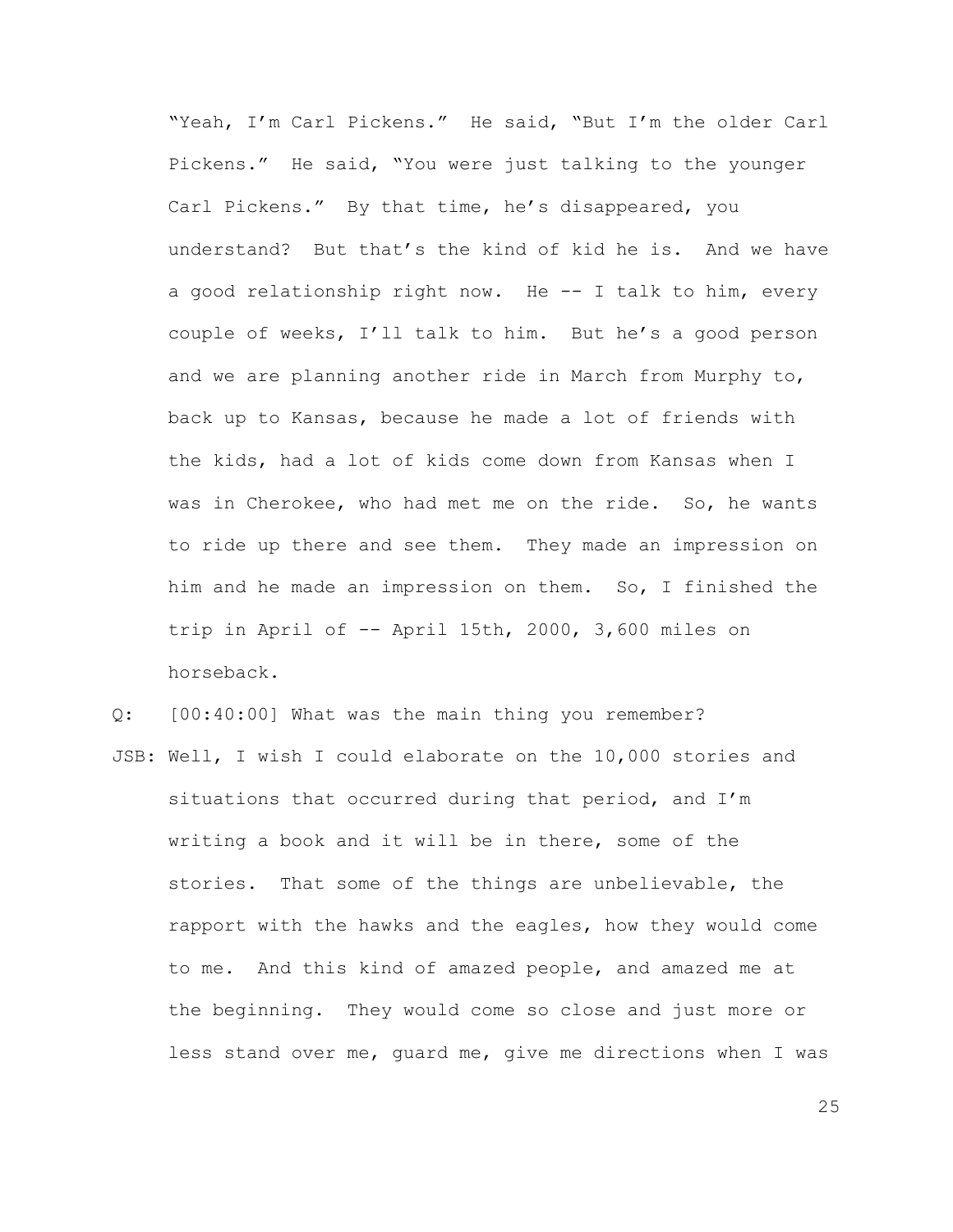"Yeah, I'm Carl Pickens." He said, "But I'm the older Carl Pickens." He said, "You were just talking to the younger Carl Pickens." By that time, he's disappeared, you understand? But that's the kind of kid he is. And we have a good relationship right now. He -- I talk to him, every couple of weeks, I'll talk to him. But he's a good person and we are planning another ride in March from Murphy to, back up to Kansas, because he made a lot of friends with the kids, had a lot of kids come down from Kansas when I was in Cherokee, who had met me on the ride. So, he wants to ride up there and see them. They made an impression on him and he made an impression on them. So, I finished the trip in April of -- April 15th, 2000, 3,600 miles on horseback.

Q: [00:40:00] What was the main thing you remember?

JSB: Well, I wish I could elaborate on the 10,000 stories and situations that occurred during that period, and I'm writing a book and it will be in there, some of the stories. That some of the things are unbelievable, the rapport with the hawks and the eagles, how they would come to me. And this kind of amazed people, and amazed me at the beginning. They would come so close and just more or less stand over me, guard me, give me directions when I was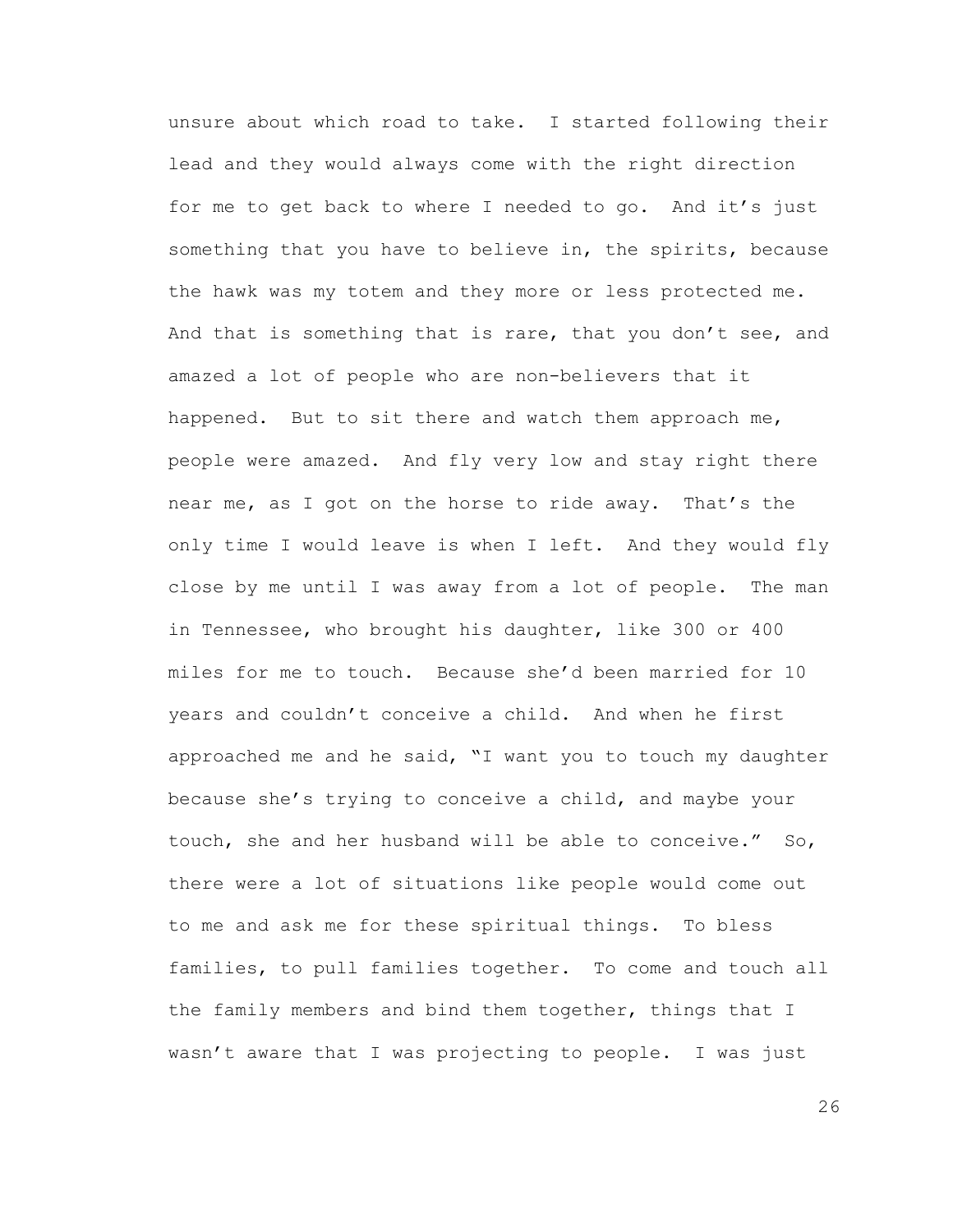unsure about which road to take. I started following their lead and they would always come with the right direction for me to get back to where I needed to go. And it's just something that you have to believe in, the spirits, because the hawk was my totem and they more or less protected me. And that is something that is rare, that you don't see, and amazed a lot of people who are non-believers that it happened. But to sit there and watch them approach me, people were amazed. And fly very low and stay right there near me, as I got on the horse to ride away. That's the only time I would leave is when I left. And they would fly close by me until I was away from a lot of people. The man in Tennessee, who brought his daughter, like 300 or 400 miles for me to touch. Because she'd been married for 10 years and couldn't conceive a child. And when he first approached me and he said, "I want you to touch my daughter because she's trying to conceive a child, and maybe your touch, she and her husband will be able to conceive." So, there were a lot of situations like people would come out to me and ask me for these spiritual things. To bless families, to pull families together. To come and touch all the family members and bind them together, things that I wasn't aware that I was projecting to people. I was just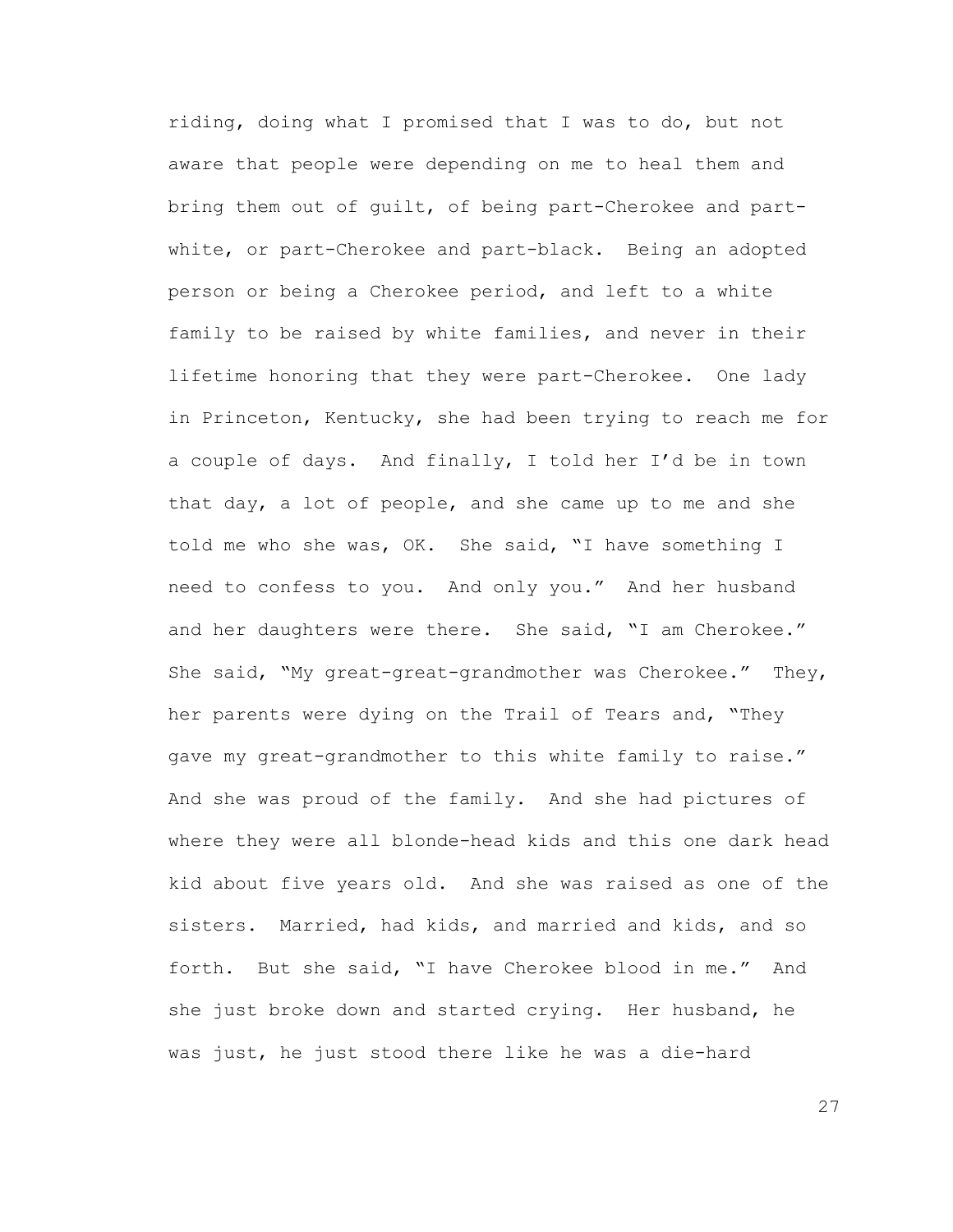riding, doing what I promised that I was to do, but not aware that people were depending on me to heal them and bring them out of guilt, of being part-Cherokee and partwhite, or part-Cherokee and part-black. Being an adopted person or being a Cherokee period, and left to a white family to be raised by white families, and never in their lifetime honoring that they were part-Cherokee. One lady in Princeton, Kentucky, she had been trying to reach me for a couple of days. And finally, I told her I'd be in town that day, a lot of people, and she came up to me and she told me who she was, OK. She said, "I have something I need to confess to you. And only you." And her husband and her daughters were there. She said, "I am Cherokee." She said, "My great-great-grandmother was Cherokee." They, her parents were dying on the Trail of Tears and, "They gave my great-grandmother to this white family to raise." And she was proud of the family. And she had pictures of where they were all blonde-head kids and this one dark head kid about five years old. And she was raised as one of the sisters. Married, had kids, and married and kids, and so forth. But she said, "I have Cherokee blood in me." And she just broke down and started crying. Her husband, he was just, he just stood there like he was a die-hard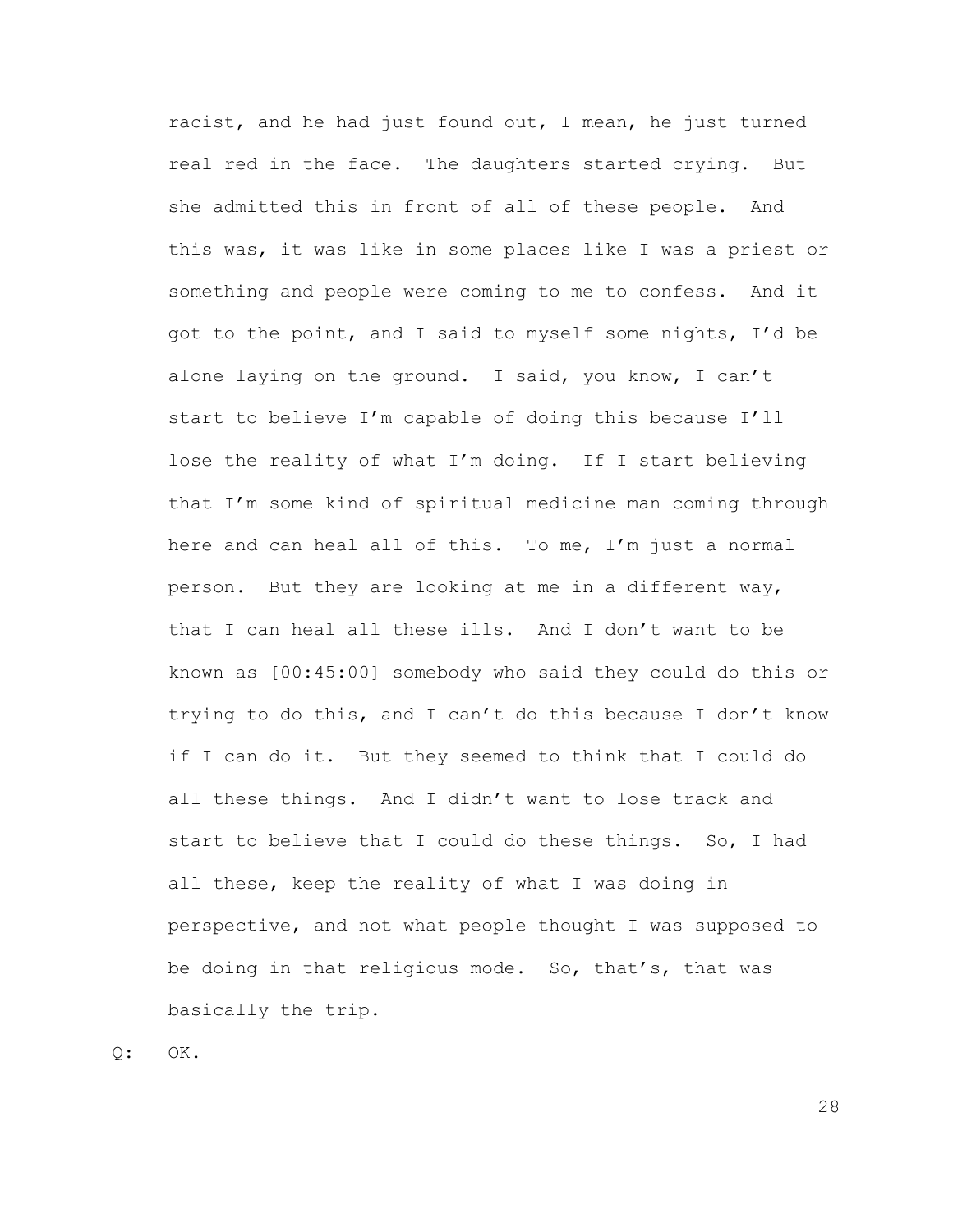racist, and he had just found out, I mean, he just turned real red in the face. The daughters started crying. But she admitted this in front of all of these people. And this was, it was like in some places like I was a priest or something and people were coming to me to confess. And it got to the point, and I said to myself some nights, I'd be alone laying on the ground. I said, you know, I can't start to believe I'm capable of doing this because I'll lose the reality of what I'm doing. If I start believing that I'm some kind of spiritual medicine man coming through here and can heal all of this. To me, I'm just a normal person. But they are looking at me in a different way, that I can heal all these ills. And I don't want to be known as [00:45:00] somebody who said they could do this or trying to do this, and I can't do this because I don't know if I can do it. But they seemed to think that I could do all these things. And I didn't want to lose track and start to believe that I could do these things. So, I had all these, keep the reality of what I was doing in perspective, and not what people thought I was supposed to be doing in that religious mode. So, that's, that was basically the trip.

 $Q:$  OK.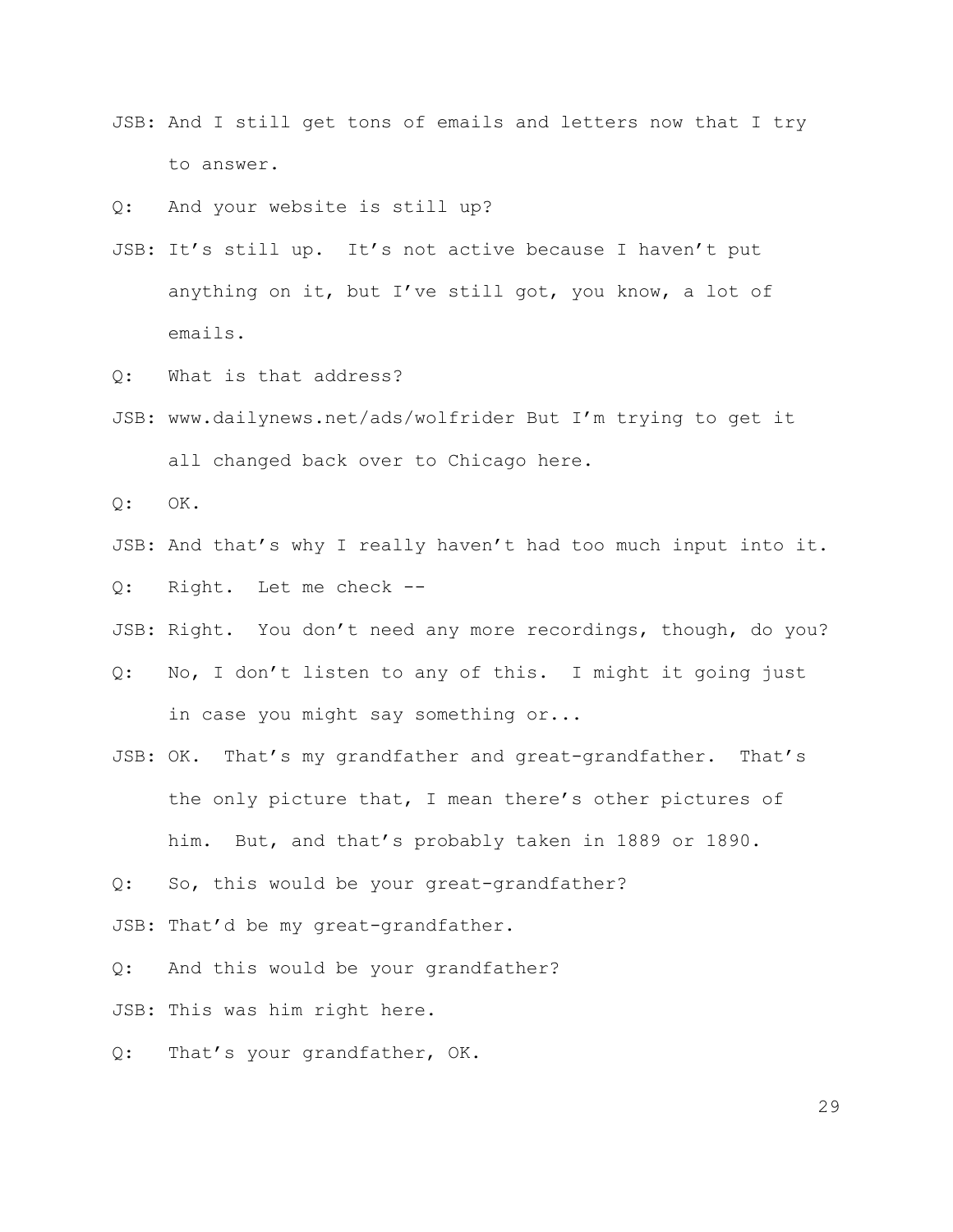JSB: And I still get tons of emails and letters now that I try to answer.

Q: And your website is still up?

- JSB: It's still up. It's not active because I haven't put anything on it, but I've still got, you know, a lot of emails.
- Q: What is that address?
- JSB: www.dailynews.net/ads/wolfrider But I'm trying to get it all changed back over to Chicago here.

Q: OK.

JSB: And that's why I really haven't had too much input into it.

Q: Right. Let me check --

JSB: Right. You don't need any more recordings, though, do you?

- Q: No, I don't listen to any of this. I might it going just in case you might say something or...
- JSB: OK. That's my grandfather and great-grandfather. That's the only picture that, I mean there's other pictures of him. But, and that's probably taken in 1889 or 1890.

Q: So, this would be your great-grandfather?

JSB: That'd be my great-grandfather.

Q: And this would be your grandfather?

JSB: This was him right here.

Q: That's your grandfather, OK.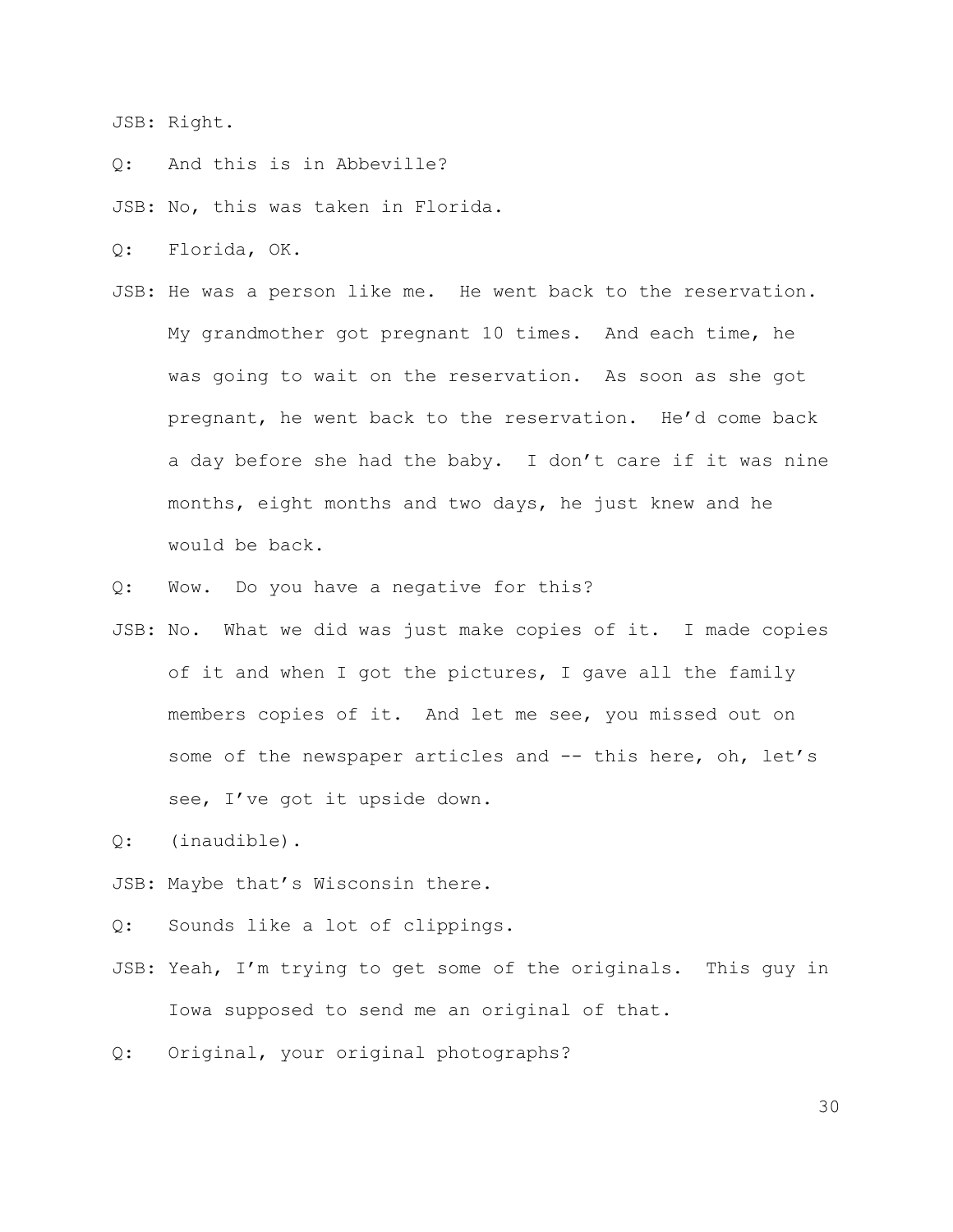JSB: Right.

Q: And this is in Abbeville?

JSB: No, this was taken in Florida.

Q: Florida, OK.

- JSB: He was a person like me. He went back to the reservation. My grandmother got pregnant 10 times. And each time, he was going to wait on the reservation. As soon as she got pregnant, he went back to the reservation. He'd come back a day before she had the baby. I don't care if it was nine months, eight months and two days, he just knew and he would be back.
- Q: Wow. Do you have a negative for this?
- JSB: No. What we did was just make copies of it. I made copies of it and when I got the pictures, I gave all the family members copies of it. And let me see, you missed out on some of the newspaper articles and -- this here, oh, let's see, I've got it upside down.

Q: (inaudible).

JSB: Maybe that's Wisconsin there.

Q: Sounds like a lot of clippings.

JSB: Yeah, I'm trying to get some of the originals. This guy in Iowa supposed to send me an original of that.

Q: Original, your original photographs?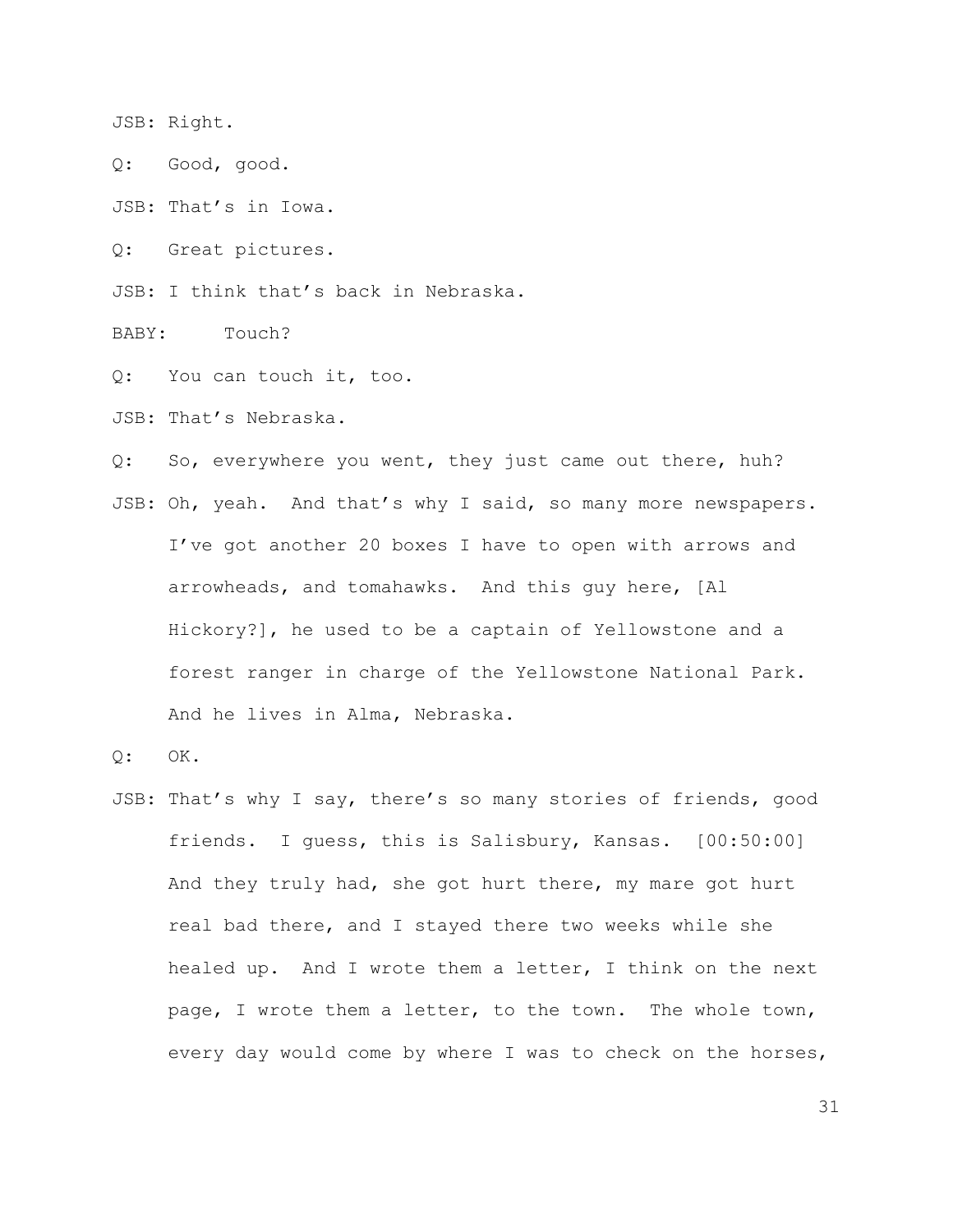JSB: Right.

Q: Good, good.

JSB: That's in Iowa.

Q: Great pictures.

JSB: I think that's back in Nebraska.

BABY: Touch?

Q: You can touch it, too.

JSB: That's Nebraska.

Q: So, everywhere you went, they just came out there, huh? JSB: Oh, yeah. And that's why I said, so many more newspapers. I've got another 20 boxes I have to open with arrows and arrowheads, and tomahawks. And this guy here, [Al Hickory?], he used to be a captain of Yellowstone and a forest ranger in charge of the Yellowstone National Park. And he lives in Alma, Nebraska.

Q: OK.

JSB: That's why I say, there's so many stories of friends, good friends. I guess, this is Salisbury, Kansas. [00:50:00] And they truly had, she got hurt there, my mare got hurt real bad there, and I stayed there two weeks while she healed up. And I wrote them a letter, I think on the next page, I wrote them a letter, to the town. The whole town, every day would come by where I was to check on the horses,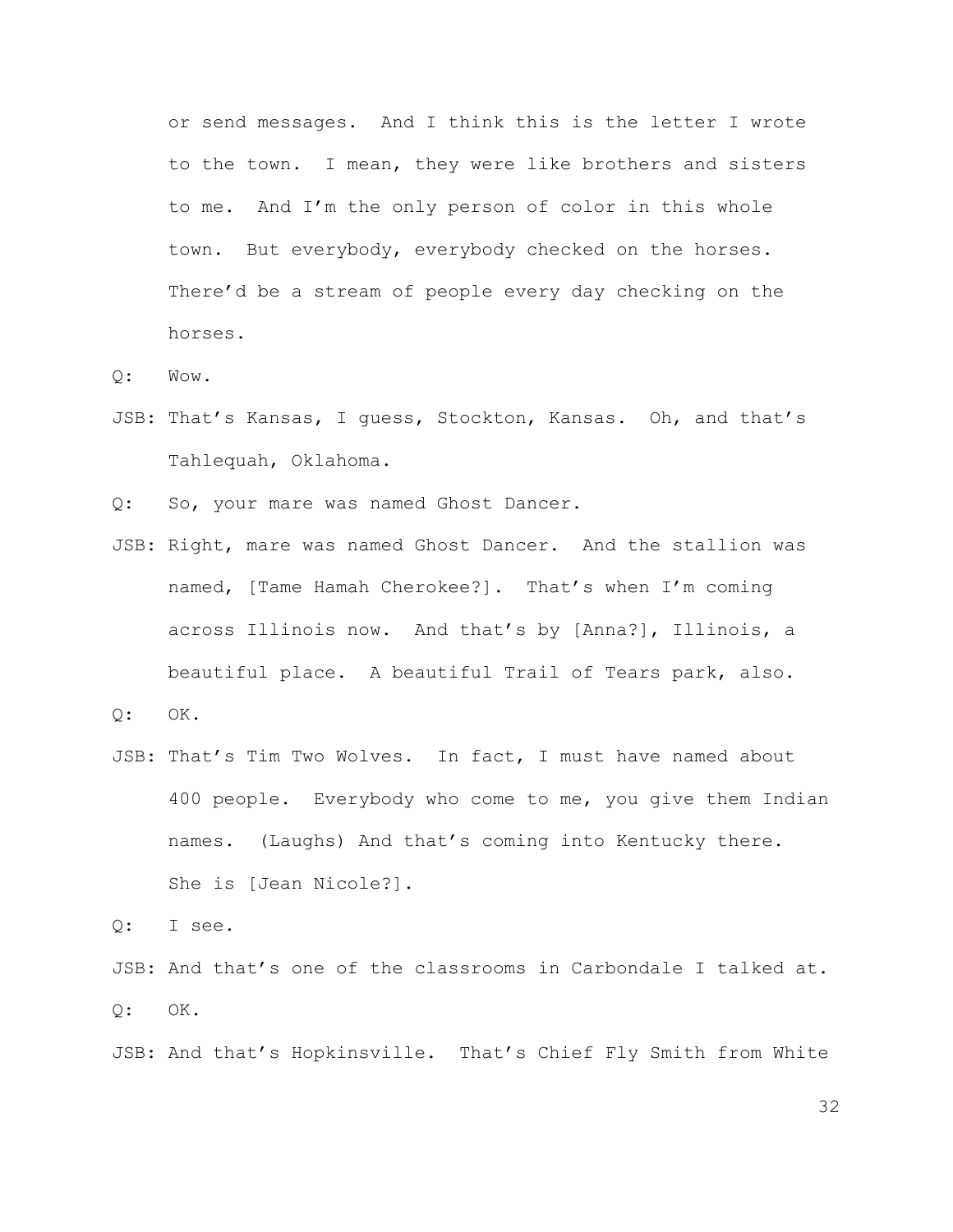or send messages. And I think this is the letter I wrote to the town. I mean, they were like brothers and sisters to me. And I'm the only person of color in this whole town. But everybody, everybody checked on the horses. There'd be a stream of people every day checking on the horses.

Q: Wow.

JSB: That's Kansas, I guess, Stockton, Kansas. Oh, and that's Tahlequah, Oklahoma.

Q: So, your mare was named Ghost Dancer.

- JSB: Right, mare was named Ghost Dancer. And the stallion was named, [Tame Hamah Cherokee?]. That's when I'm coming across Illinois now. And that's by [Anna?], Illinois, a beautiful place. A beautiful Trail of Tears park, also.
- $Q:$  OK.
- JSB: That's Tim Two Wolves. In fact, I must have named about 400 people. Everybody who come to me, you give them Indian names. (Laughs) And that's coming into Kentucky there. She is [Jean Nicole?].

Q: I see.

JSB: And that's one of the classrooms in Carbondale I talked at.  $Q:$  OK.

JSB: And that's Hopkinsville. That's Chief Fly Smith from White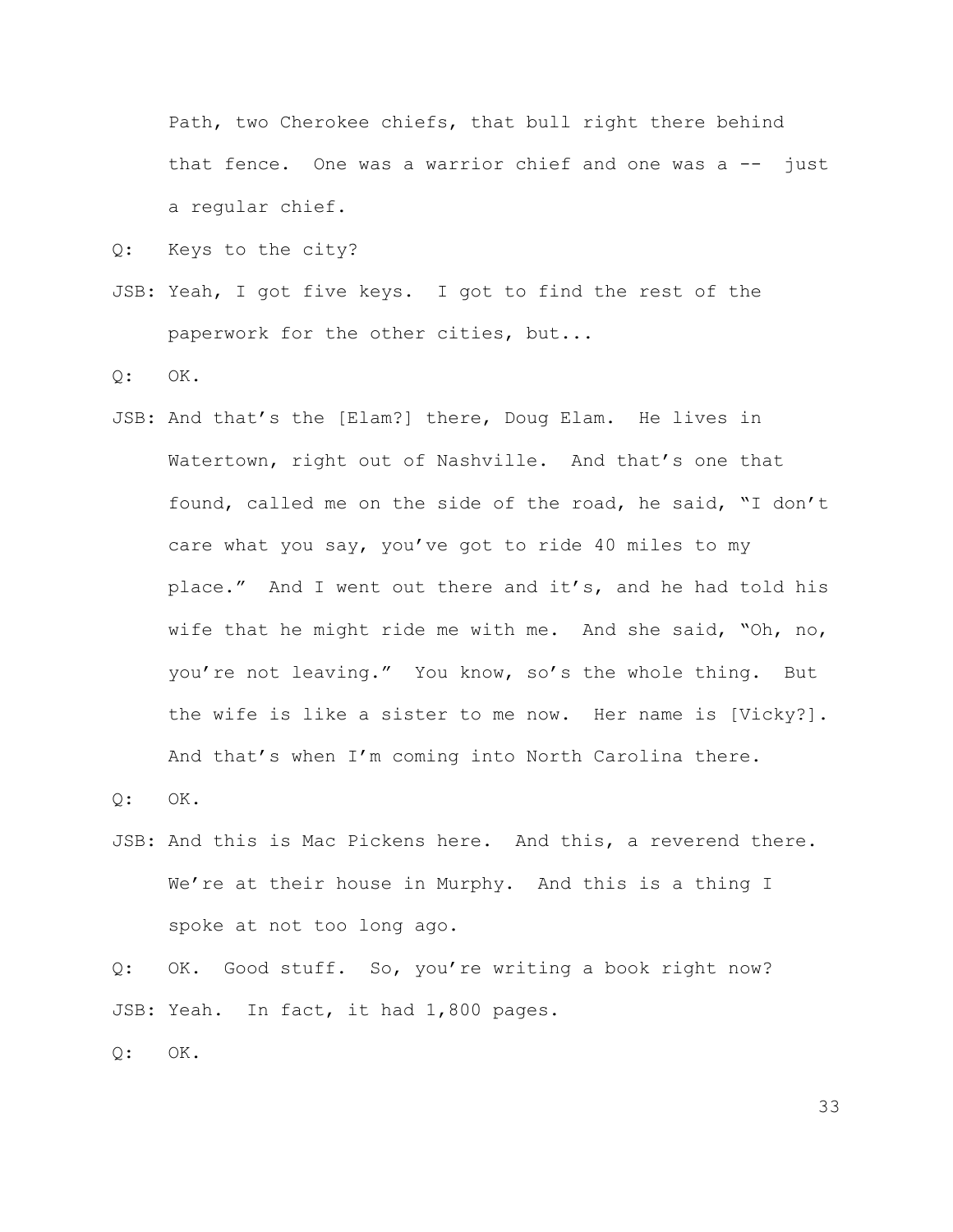Path, two Cherokee chiefs, that bull right there behind that fence. One was a warrior chief and one was a  $-$  just a regular chief.

Q: Keys to the city?

JSB: Yeah, I got five keys. I got to find the rest of the paperwork for the other cities, but...

Q: OK.

JSB: And that's the [Elam?] there, Doug Elam. He lives in Watertown, right out of Nashville. And that's one that found, called me on the side of the road, he said, "I don't care what you say, you've got to ride 40 miles to my place." And I went out there and it's, and he had told his wife that he might ride me with me. And she said, "Oh, no, you're not leaving." You know, so's the whole thing. But the wife is like a sister to me now. Her name is [Vicky?]. And that's when I'm coming into North Carolina there.

 $Q:$  OK.

JSB: And this is Mac Pickens here. And this, a reverend there. We're at their house in Murphy. And this is a thing I spoke at not too long ago.

Q: OK. Good stuff. So, you're writing a book right now? JSB: Yeah. In fact, it had 1,800 pages.

 $Q:$  OK.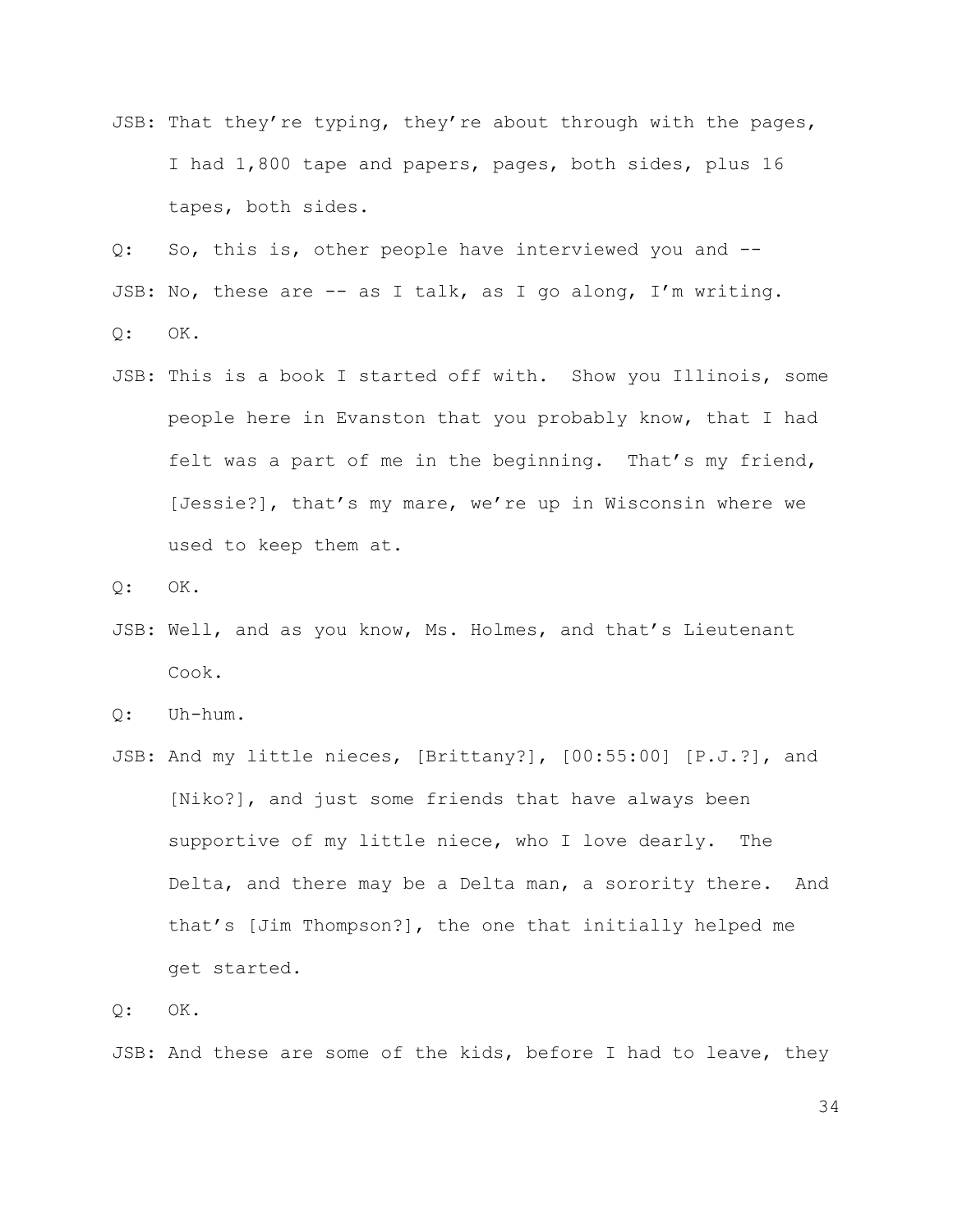JSB: That they're typing, they're about through with the pages, I had 1,800 tape and papers, pages, both sides, plus 16 tapes, both sides.

Q: So, this is, other people have interviewed you and -- JSB: No, these are -- as I talk, as I go along, I'm writing. Q: OK.

JSB: This is a book I started off with. Show you Illinois, some people here in Evanston that you probably know, that I had felt was a part of me in the beginning. That's my friend, [Jessie?], that's my mare, we're up in Wisconsin where we used to keep them at.

 $Q:$  OK.

JSB: Well, and as you know, Ms. Holmes, and that's Lieutenant Cook.

Q: Uh-hum.

JSB: And my little nieces, [Brittany?], [00:55:00] [P.J.?], and [Niko?], and just some friends that have always been supportive of my little niece, who I love dearly. The Delta, and there may be a Delta man, a sorority there. And that's [Jim Thompson?], the one that initially helped me get started.

 $Q:$  OK.

JSB: And these are some of the kids, before I had to leave, they